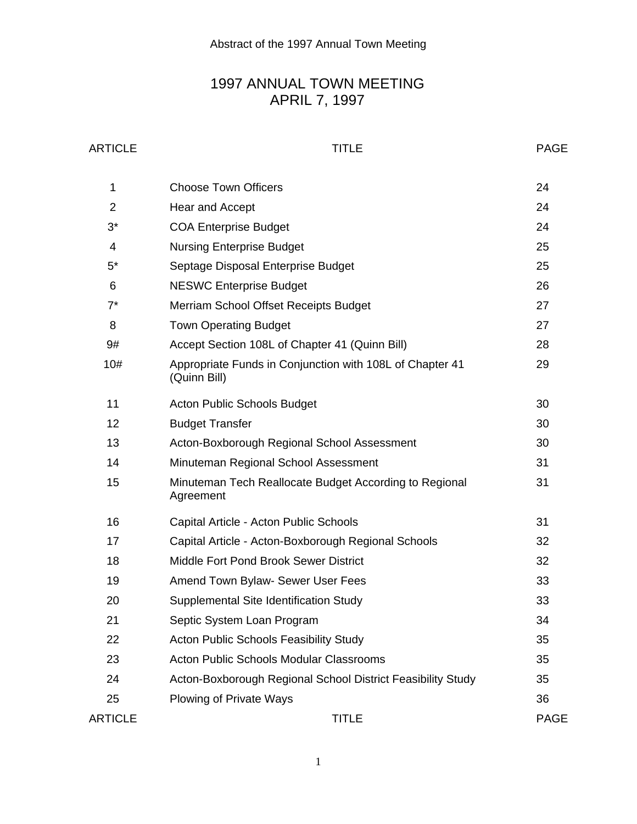# 1997 ANNUAL TOWN MEETING APRIL 7, 1997

### ARTICLE PAGE

| 1              | <b>Choose Town Officers</b>                                              | 24          |
|----------------|--------------------------------------------------------------------------|-------------|
| $\overline{2}$ | Hear and Accept                                                          | 24          |
| $3^*$          | <b>COA Enterprise Budget</b>                                             | 24          |
| 4              | <b>Nursing Enterprise Budget</b>                                         | 25          |
| $5^*$          | Septage Disposal Enterprise Budget                                       | 25          |
| 6              | <b>NESWC Enterprise Budget</b>                                           | 26          |
| $7^*$          | Merriam School Offset Receipts Budget                                    | 27          |
| 8              | <b>Town Operating Budget</b>                                             | 27          |
| 9#             | Accept Section 108L of Chapter 41 (Quinn Bill)                           | 28          |
| 10#            | Appropriate Funds in Conjunction with 108L of Chapter 41<br>(Quinn Bill) | 29          |
| 11             | <b>Acton Public Schools Budget</b>                                       | 30          |
| 12             | <b>Budget Transfer</b>                                                   | 30          |
| 13             | Acton-Boxborough Regional School Assessment                              | 30          |
| 14             | Minuteman Regional School Assessment                                     | 31          |
| 15             | Minuteman Tech Reallocate Budget According to Regional<br>Agreement      | 31          |
| 16             | Capital Article - Acton Public Schools                                   | 31          |
| 17             | Capital Article - Acton-Boxborough Regional Schools                      | 32          |
| 18             | Middle Fort Pond Brook Sewer District                                    | 32          |
| 19             | Amend Town Bylaw- Sewer User Fees                                        | 33          |
| 20             | Supplemental Site Identification Study                                   | 33          |
| 21             | Septic System Loan Program                                               | 34          |
| 22             | <b>Acton Public Schools Feasibility Study</b>                            | 35          |
| 23             | <b>Acton Public Schools Modular Classrooms</b>                           | 35          |
| 24             | Acton-Boxborough Regional School District Feasibility Study              | 35          |
| 25             | Plowing of Private Ways                                                  | 36          |
| <b>ARTICLE</b> | <b>TITLE</b>                                                             | <b>PAGE</b> |

1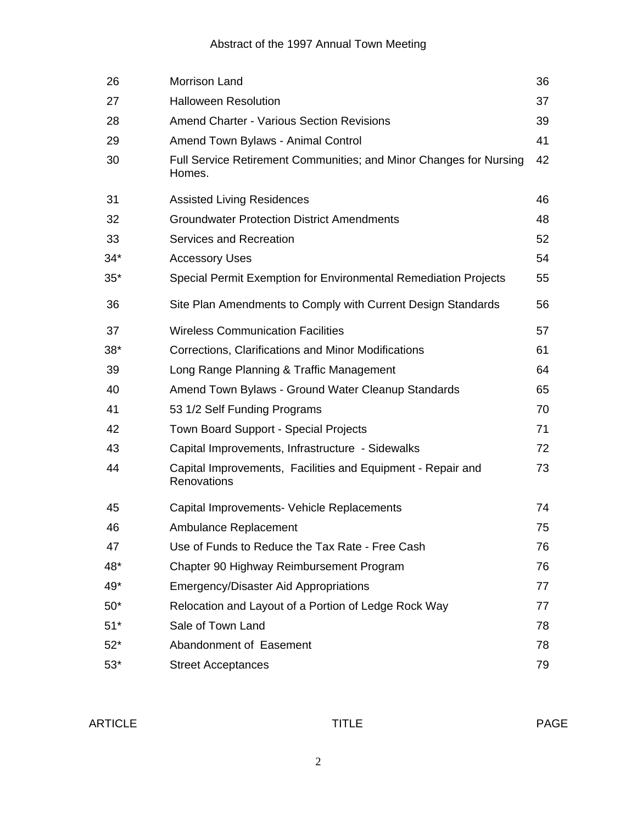### Abstract of the 1997 Annual Town Meeting

| 26    | Morrison Land                                                                | 36 |
|-------|------------------------------------------------------------------------------|----|
| 27    | <b>Halloween Resolution</b>                                                  | 37 |
| 28    | <b>Amend Charter - Various Section Revisions</b>                             | 39 |
| 29    | Amend Town Bylaws - Animal Control                                           | 41 |
| 30    | Full Service Retirement Communities; and Minor Changes for Nursing<br>Homes. | 42 |
| 31    | <b>Assisted Living Residences</b>                                            | 46 |
| 32    | <b>Groundwater Protection District Amendments</b>                            | 48 |
| 33    | Services and Recreation                                                      | 52 |
| $34*$ | <b>Accessory Uses</b>                                                        | 54 |
| $35*$ | Special Permit Exemption for Environmental Remediation Projects              | 55 |
| 36    | Site Plan Amendments to Comply with Current Design Standards                 | 56 |
| 37    | <b>Wireless Communication Facilities</b>                                     | 57 |
| $38*$ | Corrections, Clarifications and Minor Modifications                          | 61 |
| 39    | Long Range Planning & Traffic Management                                     | 64 |
| 40    | Amend Town Bylaws - Ground Water Cleanup Standards                           | 65 |
| 41    | 53 1/2 Self Funding Programs                                                 | 70 |
| 42    | Town Board Support - Special Projects                                        | 71 |
| 43    | Capital Improvements, Infrastructure - Sidewalks                             | 72 |
| 44    | Capital Improvements, Facilities and Equipment - Repair and<br>Renovations   | 73 |
| 45    | Capital Improvements- Vehicle Replacements                                   | 74 |
| 46    | Ambulance Replacement                                                        | 75 |
| 47    | Use of Funds to Reduce the Tax Rate - Free Cash                              | 76 |
| 48*   | Chapter 90 Highway Reimbursement Program                                     | 76 |
| 49*   | <b>Emergency/Disaster Aid Appropriations</b>                                 | 77 |
| $50*$ | Relocation and Layout of a Portion of Ledge Rock Way                         | 77 |
| $51*$ | Sale of Town Land                                                            | 78 |
| $52*$ | Abandonment of Easement                                                      | 78 |
| $53*$ | <b>Street Acceptances</b>                                                    | 79 |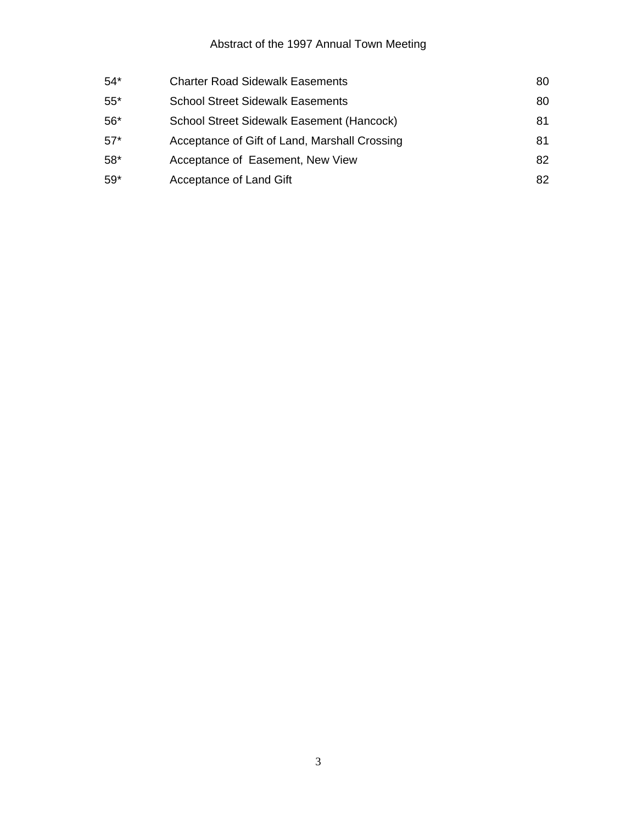# Abstract of the 1997 Annual Town Meeting

| <b>Charter Road Sidewalk Easements</b>        | 80 |
|-----------------------------------------------|----|
| <b>School Street Sidewalk Easements</b>       | 80 |
| School Street Sidewalk Easement (Hancock)     | 81 |
| Acceptance of Gift of Land, Marshall Crossing | 81 |
| Acceptance of Easement, New View              | 82 |
| Acceptance of Land Gift                       | 82 |
|                                               |    |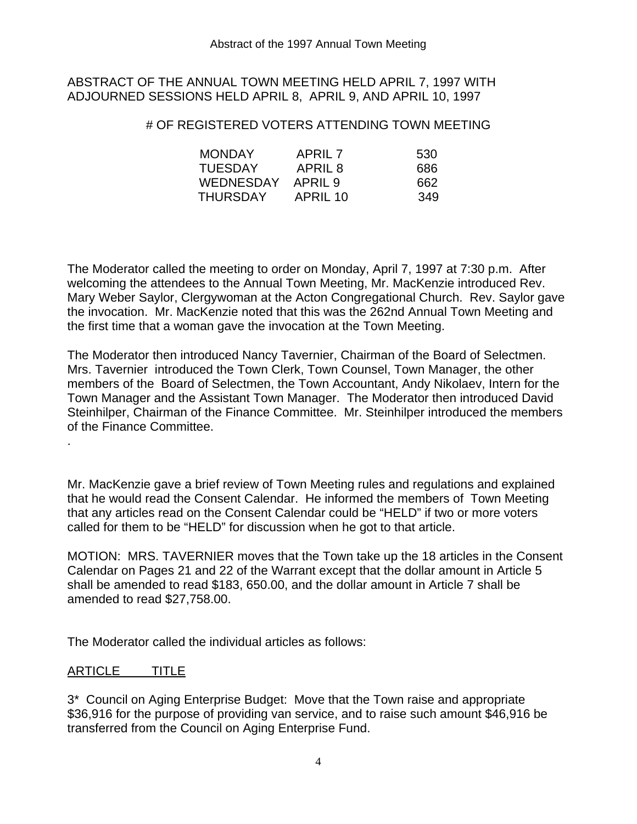### ABSTRACT OF THE ANNUAL TOWN MEETING HELD APRIL 7, 1997 WITH ADJOURNED SESSIONS HELD APRIL 8, APRIL 9, AND APRIL 10, 1997

### # OF REGISTERED VOTERS ATTENDING TOWN MEETING

| <b>MONDAY</b>  | APRIL 7  | 530 |
|----------------|----------|-----|
| <b>TUESDAY</b> | APRIL 8  | 686 |
| WEDNESDAY      | APRIL 9  | 662 |
| THURSDAY       | APRIL 10 | 349 |

The Moderator called the meeting to order on Monday, April 7, 1997 at 7:30 p.m. After welcoming the attendees to the Annual Town Meeting, Mr. MacKenzie introduced Rev. Mary Weber Saylor, Clergywoman at the Acton Congregational Church. Rev. Saylor gave the invocation. Mr. MacKenzie noted that this was the 262nd Annual Town Meeting and the first time that a woman gave the invocation at the Town Meeting.

The Moderator then introduced Nancy Tavernier, Chairman of the Board of Selectmen. Mrs. Tavernier introduced the Town Clerk, Town Counsel, Town Manager, the other members of the Board of Selectmen, the Town Accountant, Andy Nikolaev, Intern for the Town Manager and the Assistant Town Manager. The Moderator then introduced David Steinhilper, Chairman of the Finance Committee. Mr. Steinhilper introduced the members of the Finance Committee.

Mr. MacKenzie gave a brief review of Town Meeting rules and regulations and explained that he would read the Consent Calendar. He informed the members of Town Meeting that any articles read on the Consent Calendar could be "HELD" if two or more voters called for them to be "HELD" for discussion when he got to that article.

MOTION: MRS. TAVERNIER moves that the Town take up the 18 articles in the Consent Calendar on Pages 21 and 22 of the Warrant except that the dollar amount in Article 5 shall be amended to read \$183, 650.00, and the dollar amount in Article 7 shall be amended to read \$27,758.00.

The Moderator called the individual articles as follows:

### ARTICLE TITLE

.

3\* Council on Aging Enterprise Budget: Move that the Town raise and appropriate \$36,916 for the purpose of providing van service, and to raise such amount \$46,916 be transferred from the Council on Aging Enterprise Fund.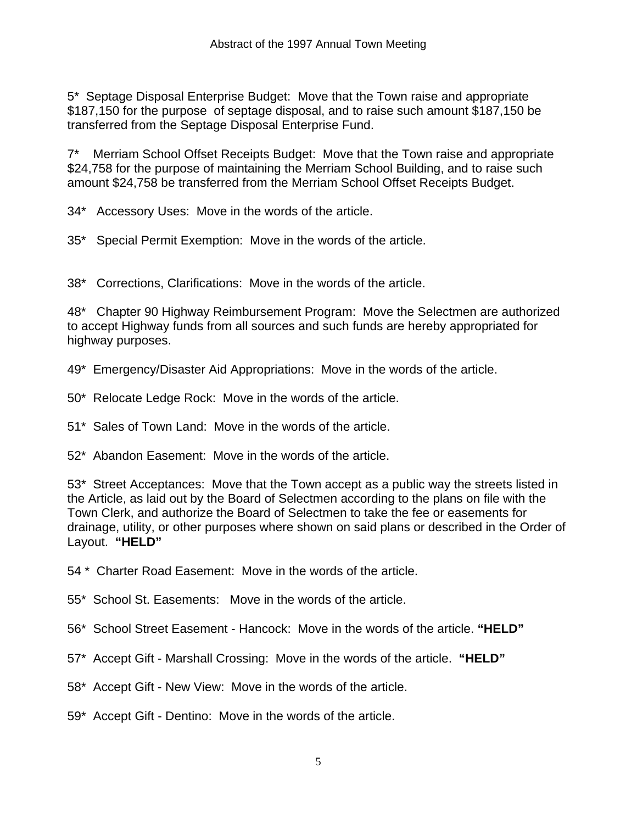5\* Septage Disposal Enterprise Budget: Move that the Town raise and appropriate \$187,150 for the purpose of septage disposal, and to raise such amount \$187,150 be transferred from the Septage Disposal Enterprise Fund.

7\* Merriam School Offset Receipts Budget: Move that the Town raise and appropriate \$24,758 for the purpose of maintaining the Merriam School Building, and to raise such amount \$24,758 be transferred from the Merriam School Offset Receipts Budget.

34\* Accessory Uses: Move in the words of the article.

35\* Special Permit Exemption: Move in the words of the article.

38\* Corrections, Clarifications: Move in the words of the article.

48\* Chapter 90 Highway Reimbursement Program: Move the Selectmen are authorized to accept Highway funds from all sources and such funds are hereby appropriated for highway purposes.

49\* Emergency/Disaster Aid Appropriations: Move in the words of the article.

50\* Relocate Ledge Rock: Move in the words of the article.

51\* Sales of Town Land: Move in the words of the article.

52\* Abandon Easement: Move in the words of the article.

53\* Street Acceptances: Move that the Town accept as a public way the streets listed in the Article, as laid out by the Board of Selectmen according to the plans on file with the Town Clerk, and authorize the Board of Selectmen to take the fee or easements for drainage, utility, or other purposes where shown on said plans or described in the Order of Layout. **"HELD"** 

54 \* Charter Road Easement: Move in the words of the article.

55\* School St. Easements: Move in the words of the article.

56\* School Street Easement - Hancock: Move in the words of the article. **"HELD"** 

57\* Accept Gift - Marshall Crossing: Move in the words of the article. **"HELD"** 

58\* Accept Gift - New View: Move in the words of the article.

59\* Accept Gift - Dentino: Move in the words of the article.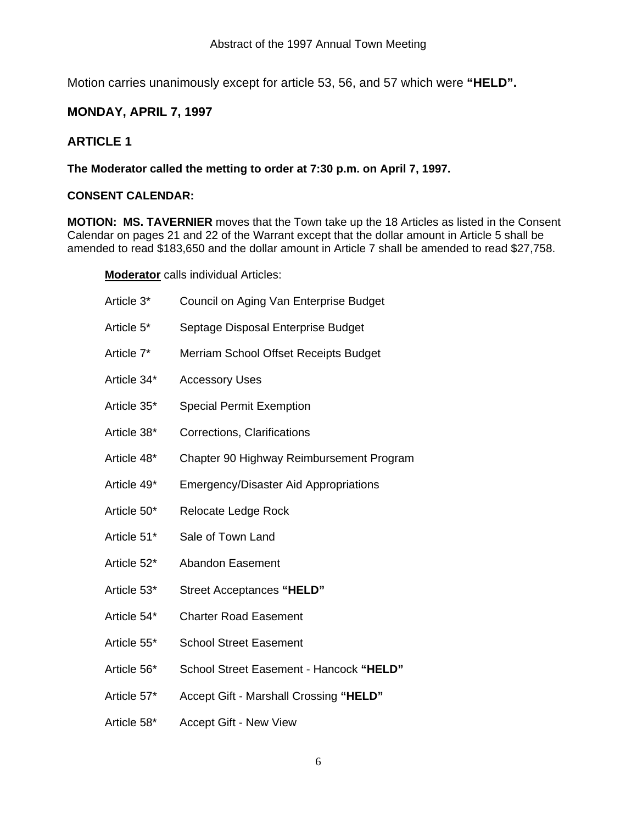Motion carries unanimously except for article 53, 56, and 57 which were **"HELD".** 

### **MONDAY, APRIL 7, 1997**

### **ARTICLE 1**

### **The Moderator called the metting to order at 7:30 p.m. on April 7, 1997.**

### **CONSENT CALENDAR:**

**MOTION: MS. TAVERNIER** moves that the Town take up the 18 Articles as listed in the Consent Calendar on pages 21 and 22 of the Warrant except that the dollar amount in Article 5 shall be amended to read \$183,650 and the dollar amount in Article 7 shall be amended to read \$27,758.

**Moderator** calls individual Articles:

| Article 3*  | Council on Aging Van Enterprise Budget       |
|-------------|----------------------------------------------|
| Article 5*  | Septage Disposal Enterprise Budget           |
| Article 7*  | Merriam School Offset Receipts Budget        |
| Article 34* | <b>Accessory Uses</b>                        |
| Article 35* | <b>Special Permit Exemption</b>              |
| Article 38* | Corrections, Clarifications                  |
| Article 48* | Chapter 90 Highway Reimbursement Program     |
| Article 49* | <b>Emergency/Disaster Aid Appropriations</b> |
| Article 50* | Relocate Ledge Rock                          |
| Article 51* | Sale of Town Land                            |
| Article 52* | <b>Abandon Easement</b>                      |
| Article 53* | Street Acceptances "HELD"                    |
| Article 54* | <b>Charter Road Easement</b>                 |
| Article 55* | <b>School Street Easement</b>                |
| Article 56* | School Street Easement - Hancock "HELD"      |
| Article 57* | Accept Gift - Marshall Crossing "HELD"       |
| Article 58* | <b>Accept Gift - New View</b>                |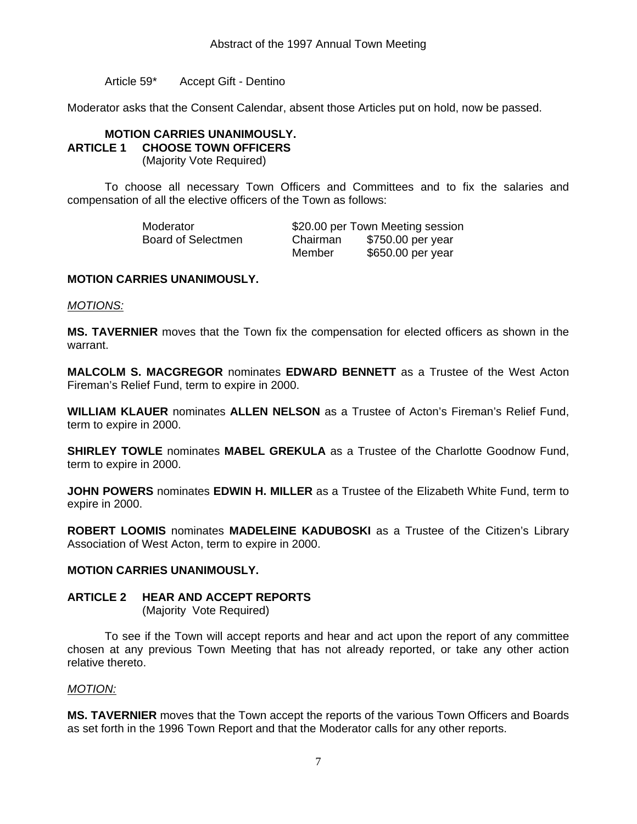Article 59\* Accept Gift - Dentino

Moderator asks that the Consent Calendar, absent those Articles put on hold, now be passed.

### **MOTION CARRIES UNANIMOUSLY. ARTICLE 1 CHOOSE TOWN OFFICERS**

(Majority Vote Required)

To choose all necessary Town Officers and Committees and to fix the salaries and compensation of all the elective officers of the Town as follows:

| Moderator          |          | \$20.00 per Town Meeting session |
|--------------------|----------|----------------------------------|
| Board of Selectmen | Chairman | \$750.00 per year                |
|                    | Member   | \$650.00 per year                |

### **MOTION CARRIES UNANIMOUSLY.**

*MOTIONS:*

**MS. TAVERNIER** moves that the Town fix the compensation for elected officers as shown in the warrant.

**MALCOLM S. MACGREGOR** nominates **EDWARD BENNETT** as a Trustee of the West Acton Fireman's Relief Fund, term to expire in 2000.

**WILLIAM KLAUER** nominates **ALLEN NELSON** as a Trustee of Acton's Fireman's Relief Fund, term to expire in 2000.

**SHIRLEY TOWLE** nominates **MABEL GREKULA** as a Trustee of the Charlotte Goodnow Fund, term to expire in 2000.

**JOHN POWERS** nominates **EDWIN H. MILLER** as a Trustee of the Elizabeth White Fund, term to expire in 2000.

**ROBERT LOOMIS** nominates **MADELEINE KADUBOSKI** as a Trustee of the Citizen's Library Association of West Acton, term to expire in 2000.

### **MOTION CARRIES UNANIMOUSLY.**

### **ARTICLE 2 HEAR AND ACCEPT REPORTS**

(Majority Vote Required)

 To see if the Town will accept reports and hear and act upon the report of any committee chosen at any previous Town Meeting that has not already reported, or take any other action relative thereto.

### *MOTION:*

**MS. TAVERNIER** moves that the Town accept the reports of the various Town Officers and Boards as set forth in the 1996 Town Report and that the Moderator calls for any other reports.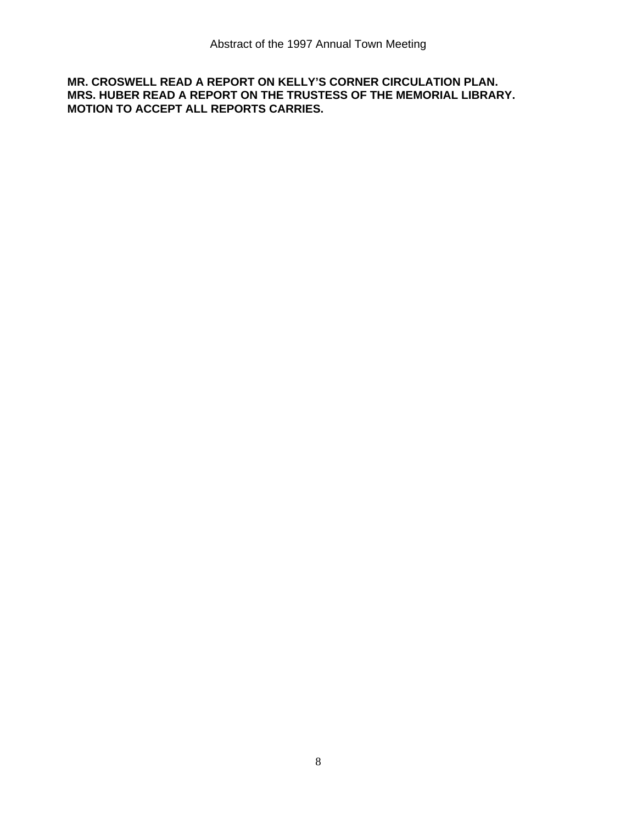### **MR. CROSWELL READ A REPORT ON KELLY'S CORNER CIRCULATION PLAN. MRS. HUBER READ A REPORT ON THE TRUSTESS OF THE MEMORIAL LIBRARY. MOTION TO ACCEPT ALL REPORTS CARRIES.**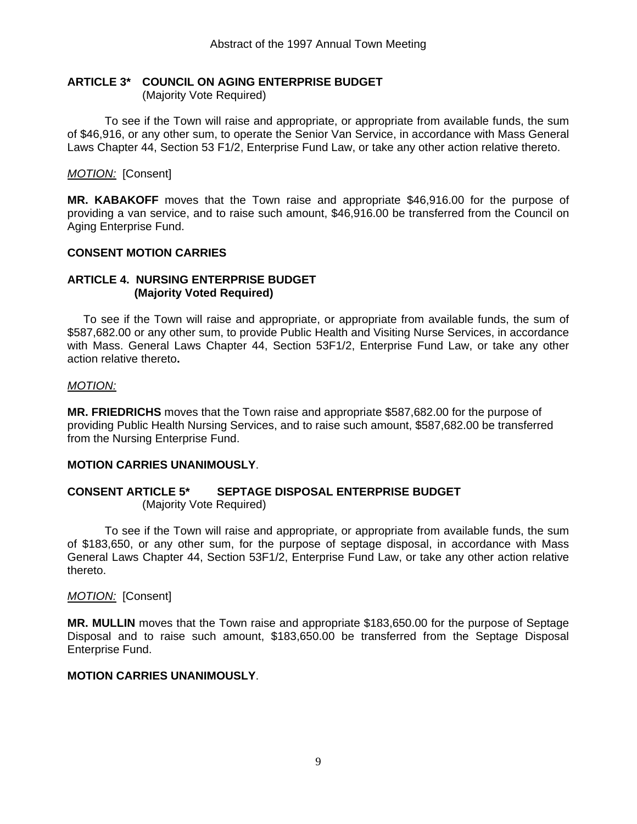### **ARTICLE 3\* COUNCIL ON AGING ENTERPRISE BUDGET**

(Majority Vote Required)

 To see if the Town will raise and appropriate, or appropriate from available funds, the sum of \$46,916, or any other sum, to operate the Senior Van Service, in accordance with Mass General Laws Chapter 44, Section 53 F1/2, Enterprise Fund Law, or take any other action relative thereto.

*MOTION:* [Consent]

**MR. KABAKOFF** moves that the Town raise and appropriate \$46,916.00 for the purpose of providing a van service, and to raise such amount, \$46,916.00 be transferred from the Council on Aging Enterprise Fund.

### **CONSENT MOTION CARRIES**

### **ARTICLE 4. NURSING ENTERPRISE BUDGET (Majority Voted Required)**

 To see if the Town will raise and appropriate, or appropriate from available funds, the sum of \$587,682.00 or any other sum, to provide Public Health and Visiting Nurse Services, in accordance with Mass. General Laws Chapter 44, Section 53F1/2, Enterprise Fund Law, or take any other action relative thereto**.** 

### *MOTION:*

**MR. FRIEDRICHS** moves that the Town raise and appropriate \$587,682.00 for the purpose of providing Public Health Nursing Services, and to raise such amount, \$587,682.00 be transferred from the Nursing Enterprise Fund.

### **MOTION CARRIES UNANIMOUSLY**.

### **CONSENT ARTICLE 5\* SEPTAGE DISPOSAL ENTERPRISE BUDGET** (Majority Vote Required)

 To see if the Town will raise and appropriate, or appropriate from available funds, the sum of \$183,650, or any other sum, for the purpose of septage disposal, in accordance with Mass General Laws Chapter 44, Section 53F1/2, Enterprise Fund Law, or take any other action relative thereto.

### *MOTION:* [Consent]

**MR. MULLIN** moves that the Town raise and appropriate \$183,650.00 for the purpose of Septage Disposal and to raise such amount, \$183,650.00 be transferred from the Septage Disposal Enterprise Fund.

### **MOTION CARRIES UNANIMOUSLY**.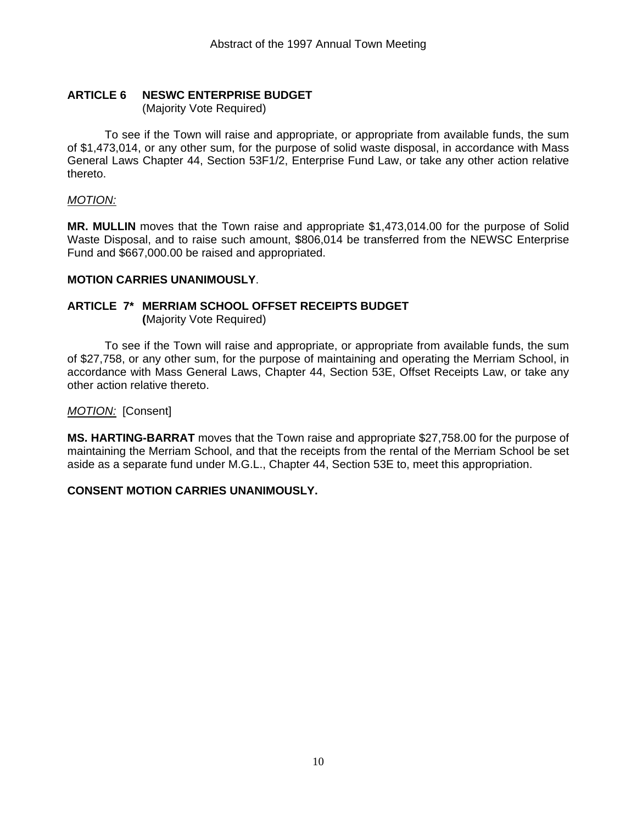# **ARTICLE 6 NESWC ENTERPRISE BUDGET**

(Majority Vote Required)

 To see if the Town will raise and appropriate, or appropriate from available funds, the sum of \$1,473,014, or any other sum, for the purpose of solid waste disposal, in accordance with Mass General Laws Chapter 44, Section 53F1/2, Enterprise Fund Law, or take any other action relative thereto.

### *MOTION:*

**MR. MULLIN** moves that the Town raise and appropriate \$1,473,014.00 for the purpose of Solid Waste Disposal, and to raise such amount, \$806,014 be transferred from the NEWSC Enterprise Fund and \$667,000.00 be raised and appropriated.

### **MOTION CARRIES UNANIMOUSLY**.

## **ARTICLE 7\* MERRIAM SCHOOL OFFSET RECEIPTS BUDGET**

 **(**Majority Vote Required)

 To see if the Town will raise and appropriate, or appropriate from available funds, the sum of \$27,758, or any other sum, for the purpose of maintaining and operating the Merriam School, in accordance with Mass General Laws, Chapter 44, Section 53E, Offset Receipts Law, or take any other action relative thereto.

### *MOTION:* [Consent]

**MS. HARTING-BARRAT** moves that the Town raise and appropriate \$27,758.00 for the purpose of maintaining the Merriam School, and that the receipts from the rental of the Merriam School be set aside as a separate fund under M.G.L., Chapter 44, Section 53E to, meet this appropriation.

### **CONSENT MOTION CARRIES UNANIMOUSLY.**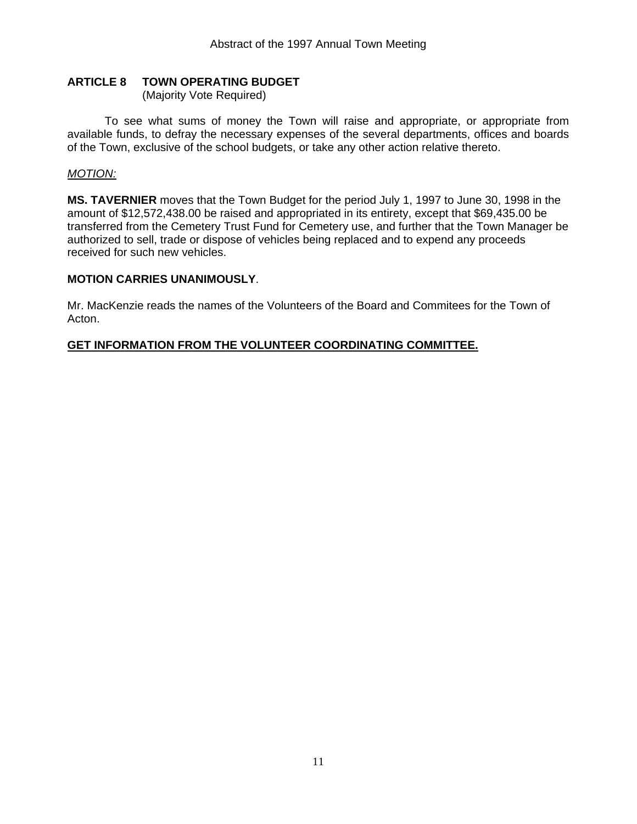### **ARTICLE 8 TOWN OPERATING BUDGET**

(Majority Vote Required)

 To see what sums of money the Town will raise and appropriate, or appropriate from available funds, to defray the necessary expenses of the several departments, offices and boards of the Town, exclusive of the school budgets, or take any other action relative thereto.

### *MOTION:*

**MS. TAVERNIER** moves that the Town Budget for the period July 1, 1997 to June 30, 1998 in the amount of \$12,572,438.00 be raised and appropriated in its entirety, except that \$69,435.00 be transferred from the Cemetery Trust Fund for Cemetery use, and further that the Town Manager be authorized to sell, trade or dispose of vehicles being replaced and to expend any proceeds received for such new vehicles.

### **MOTION CARRIES UNANIMOUSLY**.

Mr. MacKenzie reads the names of the Volunteers of the Board and Commitees for the Town of Acton.

### **GET INFORMATION FROM THE VOLUNTEER COORDINATING COMMITTEE.**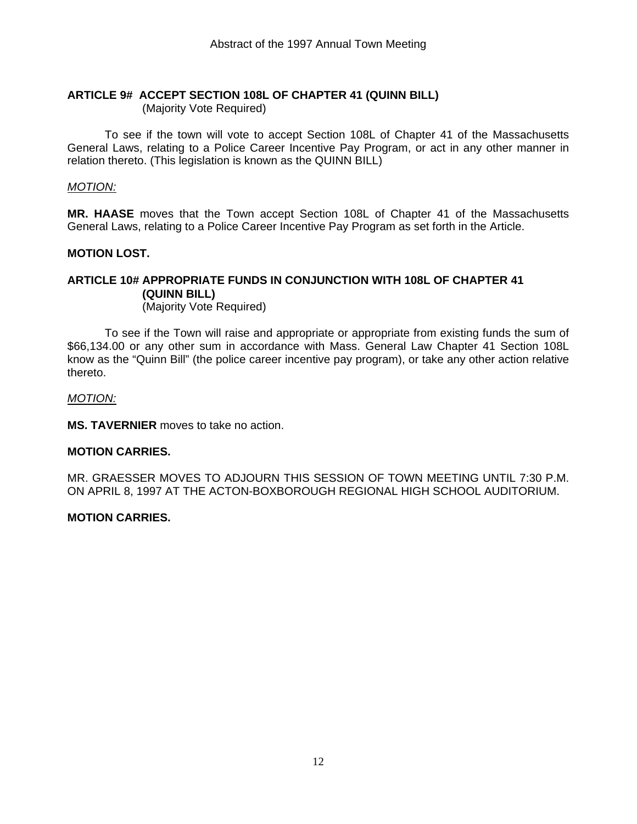# **ARTICLE 9# ACCEPT SECTION 108L OF CHAPTER 41 (QUINN BILL)**

(Majority Vote Required)

 To see if the town will vote to accept Section 108L of Chapter 41 of the Massachusetts General Laws, relating to a Police Career Incentive Pay Program, or act in any other manner in relation thereto. (This legislation is known as the QUINN BILL)

### *MOTION:*

**MR. HAASE** moves that the Town accept Section 108L of Chapter 41 of the Massachusetts General Laws, relating to a Police Career Incentive Pay Program as set forth in the Article.

### **MOTION LOST.**

### **ARTICLE 10# APPROPRIATE FUNDS IN CONJUNCTION WITH 108L OF CHAPTER 41 (QUINN BILL)**

(Majority Vote Required)

 To see if the Town will raise and appropriate or appropriate from existing funds the sum of \$66,134.00 or any other sum in accordance with Mass. General Law Chapter 41 Section 108L know as the "Quinn Bill" (the police career incentive pay program), or take any other action relative thereto.

### *MOTION:*

**MS. TAVERNIER** moves to take no action.

### **MOTION CARRIES.**

MR. GRAESSER MOVES TO ADJOURN THIS SESSION OF TOWN MEETING UNTIL 7:30 P.M. ON APRIL 8, 1997 AT THE ACTON-BOXBOROUGH REGIONAL HIGH SCHOOL AUDITORIUM.

### **MOTION CARRIES.**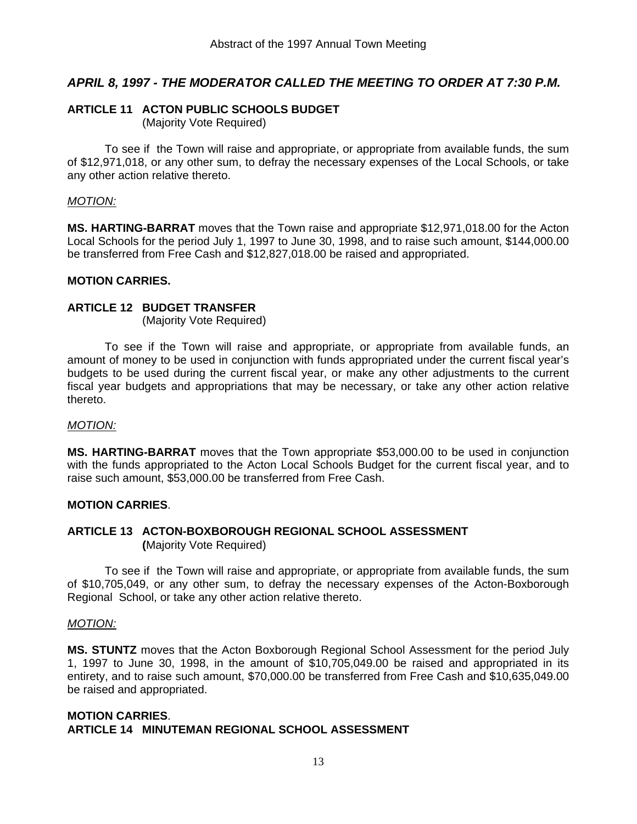### *APRIL 8, 1997 - THE MODERATOR CALLED THE MEETING TO ORDER AT 7:30 P.M.*

### **ARTICLE 11 ACTON PUBLIC SCHOOLS BUDGET**

(Majority Vote Required)

 To see if the Town will raise and appropriate, or appropriate from available funds, the sum of \$12,971,018, or any other sum, to defray the necessary expenses of the Local Schools, or take any other action relative thereto.

### *MOTION:*

**MS. HARTING-BARRAT** moves that the Town raise and appropriate \$12,971,018.00 for the Acton Local Schools for the period July 1, 1997 to June 30, 1998, and to raise such amount, \$144,000.00 be transferred from Free Cash and \$12,827,018.00 be raised and appropriated.

### **MOTION CARRIES.**

### **ARTICLE 12 BUDGET TRANSFER**

(Majority Vote Required)

 To see if the Town will raise and appropriate, or appropriate from available funds, an amount of money to be used in conjunction with funds appropriated under the current fiscal year's budgets to be used during the current fiscal year, or make any other adjustments to the current fiscal year budgets and appropriations that may be necessary, or take any other action relative thereto.

### *MOTION:*

**MS. HARTING-BARRAT** moves that the Town appropriate \$53,000.00 to be used in conjunction with the funds appropriated to the Acton Local Schools Budget for the current fiscal year, and to raise such amount, \$53,000.00 be transferred from Free Cash.

### **MOTION CARRIES**.

### **ARTICLE 13 ACTON-BOXBOROUGH REGIONAL SCHOOL ASSESSMENT (**Majority Vote Required)

 To see if the Town will raise and appropriate, or appropriate from available funds, the sum of \$10,705,049, or any other sum, to defray the necessary expenses of the Acton-Boxborough Regional School, or take any other action relative thereto.

### *MOTION:*

**MS. STUNTZ** moves that the Acton Boxborough Regional School Assessment for the period July 1, 1997 to June 30, 1998, in the amount of \$10,705,049.00 be raised and appropriated in its entirety, and to raise such amount, \$70,000.00 be transferred from Free Cash and \$10,635,049.00 be raised and appropriated.

### **MOTION CARRIES**. **ARTICLE 14 MINUTEMAN REGIONAL SCHOOL ASSESSMENT**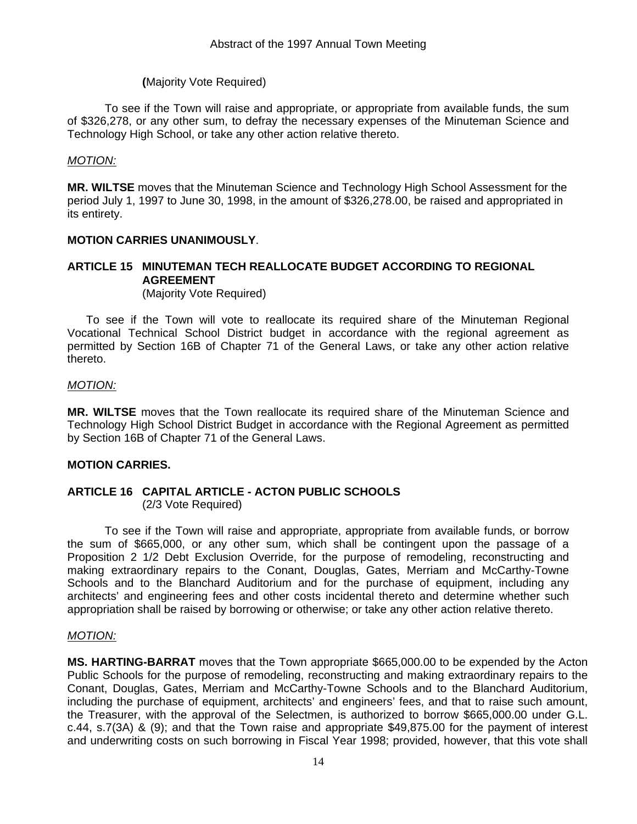### **(**Majority Vote Required)

 To see if the Town will raise and appropriate, or appropriate from available funds, the sum of \$326,278, or any other sum, to defray the necessary expenses of the Minuteman Science and Technology High School, or take any other action relative thereto.

### *MOTION:*

**MR. WILTSE** moves that the Minuteman Science and Technology High School Assessment for the period July 1, 1997 to June 30, 1998, in the amount of \$326,278.00, be raised and appropriated in its entirety.

### **MOTION CARRIES UNANIMOUSLY**.

### **ARTICLE 15 MINUTEMAN TECH REALLOCATE BUDGET ACCORDING TO REGIONAL AGREEMENT**

(Majority Vote Required)

To see if the Town will vote to reallocate its required share of the Minuteman Regional Vocational Technical School District budget in accordance with the regional agreement as permitted by Section 16B of Chapter 71 of the General Laws, or take any other action relative thereto.

### *MOTION:*

**MR. WILTSE** moves that the Town reallocate its required share of the Minuteman Science and Technology High School District Budget in accordance with the Regional Agreement as permitted by Section 16B of Chapter 71 of the General Laws.

### **MOTION CARRIES.**

#### **ARTICLE 16 CAPITAL ARTICLE - ACTON PUBLIC SCHOOLS** (2/3 Vote Required)

 To see if the Town will raise and appropriate, appropriate from available funds, or borrow the sum of \$665,000, or any other sum, which shall be contingent upon the passage of a Proposition 2 1/2 Debt Exclusion Override, for the purpose of remodeling, reconstructing and making extraordinary repairs to the Conant, Douglas, Gates, Merriam and McCarthy-Towne Schools and to the Blanchard Auditorium and for the purchase of equipment, including any architects' and engineering fees and other costs incidental thereto and determine whether such appropriation shall be raised by borrowing or otherwise; or take any other action relative thereto.

### *MOTION:*

**MS. HARTING-BARRAT** moves that the Town appropriate \$665,000.00 to be expended by the Acton Public Schools for the purpose of remodeling, reconstructing and making extraordinary repairs to the Conant, Douglas, Gates, Merriam and McCarthy-Towne Schools and to the Blanchard Auditorium, including the purchase of equipment, architects' and engineers' fees, and that to raise such amount, the Treasurer, with the approval of the Selectmen, is authorized to borrow \$665,000.00 under G.L. c.44, s.7(3A) & (9); and that the Town raise and appropriate \$49,875.00 for the payment of interest and underwriting costs on such borrowing in Fiscal Year 1998; provided, however, that this vote shall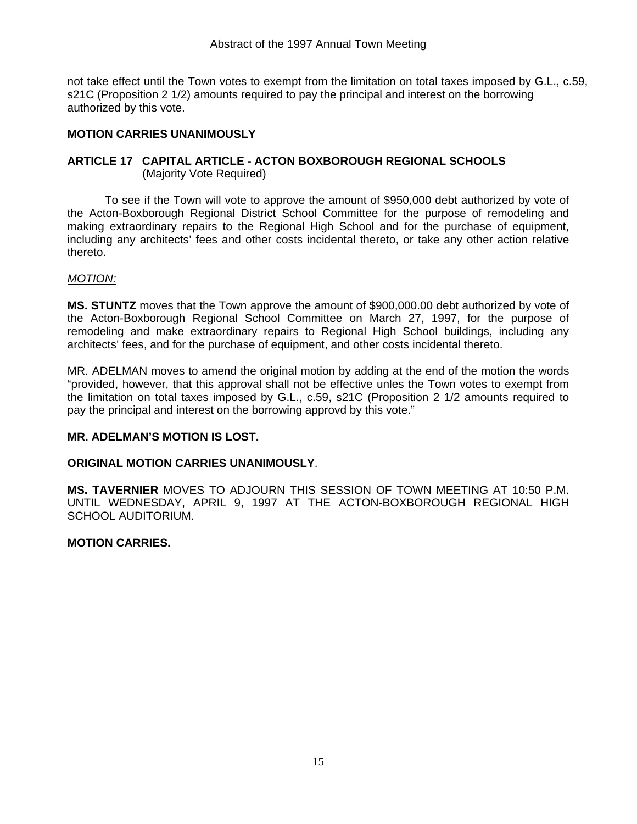not take effect until the Town votes to exempt from the limitation on total taxes imposed by G.L., c.59, s21C (Proposition 2 1/2) amounts required to pay the principal and interest on the borrowing authorized by this vote.

### **MOTION CARRIES UNANIMOUSLY**

### **ARTICLE 17 CAPITAL ARTICLE - ACTON BOXBOROUGH REGIONAL SCHOOLS** (Majority Vote Required)

 To see if the Town will vote to approve the amount of \$950,000 debt authorized by vote of the Acton-Boxborough Regional District School Committee for the purpose of remodeling and making extraordinary repairs to the Regional High School and for the purchase of equipment, including any architects' fees and other costs incidental thereto, or take any other action relative thereto.

### *MOTION:*

**MS. STUNTZ** moves that the Town approve the amount of \$900,000.00 debt authorized by vote of the Acton-Boxborough Regional School Committee on March 27, 1997, for the purpose of remodeling and make extraordinary repairs to Regional High School buildings, including any architects' fees, and for the purchase of equipment, and other costs incidental thereto.

MR. ADELMAN moves to amend the original motion by adding at the end of the motion the words "provided, however, that this approval shall not be effective unles the Town votes to exempt from the limitation on total taxes imposed by G.L., c.59, s21C (Proposition 2 1/2 amounts required to pay the principal and interest on the borrowing approvd by this vote."

### **MR. ADELMAN'S MOTION IS LOST.**

### **ORIGINAL MOTION CARRIES UNANIMOUSLY**.

**MS. TAVERNIER** MOVES TO ADJOURN THIS SESSION OF TOWN MEETING AT 10:50 P.M. UNTIL WEDNESDAY, APRIL 9, 1997 AT THE ACTON-BOXBOROUGH REGIONAL HIGH SCHOOL AUDITORIUM.

### **MOTION CARRIES.**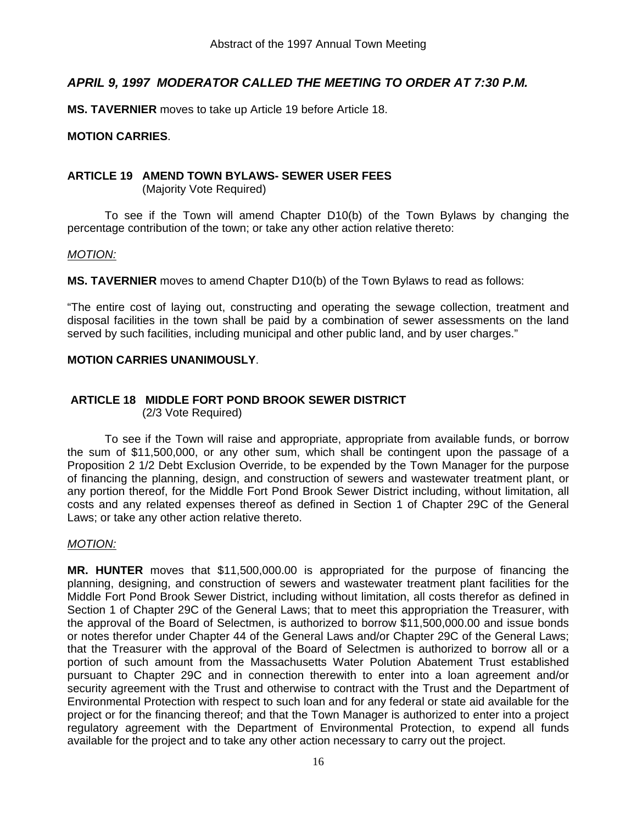### *APRIL 9, 1997 MODERATOR CALLED THE MEETING TO ORDER AT 7:30 P.M.*

**MS. TAVERNIER** moves to take up Article 19 before Article 18.

### **MOTION CARRIES**.

### **ARTICLE 19 AMEND TOWN BYLAWS- SEWER USER FEES**

(Majority Vote Required)

 To see if the Town will amend Chapter D10(b) of the Town Bylaws by changing the percentage contribution of the town; or take any other action relative thereto:

### *MOTION:*

**MS. TAVERNIER** moves to amend Chapter D10(b) of the Town Bylaws to read as follows:

"The entire cost of laying out, constructing and operating the sewage collection, treatment and disposal facilities in the town shall be paid by a combination of sewer assessments on the land served by such facilities, including municipal and other public land, and by user charges."

### **MOTION CARRIES UNANIMOUSLY**.

#### **ARTICLE 18 MIDDLE FORT POND BROOK SEWER DISTRICT** (2/3 Vote Required)

 To see if the Town will raise and appropriate, appropriate from available funds, or borrow the sum of \$11,500,000, or any other sum, which shall be contingent upon the passage of a Proposition 2 1/2 Debt Exclusion Override, to be expended by the Town Manager for the purpose of financing the planning, design, and construction of sewers and wastewater treatment plant, or any portion thereof, for the Middle Fort Pond Brook Sewer District including, without limitation, all costs and any related expenses thereof as defined in Section 1 of Chapter 29C of the General Laws; or take any other action relative thereto.

### *MOTION:*

**MR. HUNTER** moves that \$11,500,000.00 is appropriated for the purpose of financing the planning, designing, and construction of sewers and wastewater treatment plant facilities for the Middle Fort Pond Brook Sewer District, including without limitation, all costs therefor as defined in Section 1 of Chapter 29C of the General Laws; that to meet this appropriation the Treasurer, with the approval of the Board of Selectmen, is authorized to borrow \$11,500,000.00 and issue bonds or notes therefor under Chapter 44 of the General Laws and/or Chapter 29C of the General Laws; that the Treasurer with the approval of the Board of Selectmen is authorized to borrow all or a portion of such amount from the Massachusetts Water Polution Abatement Trust established pursuant to Chapter 29C and in connection therewith to enter into a loan agreement and/or security agreement with the Trust and otherwise to contract with the Trust and the Department of Environmental Protection with respect to such loan and for any federal or state aid available for the project or for the financing thereof; and that the Town Manager is authorized to enter into a project regulatory agreement with the Department of Environmental Protection, to expend all funds available for the project and to take any other action necessary to carry out the project.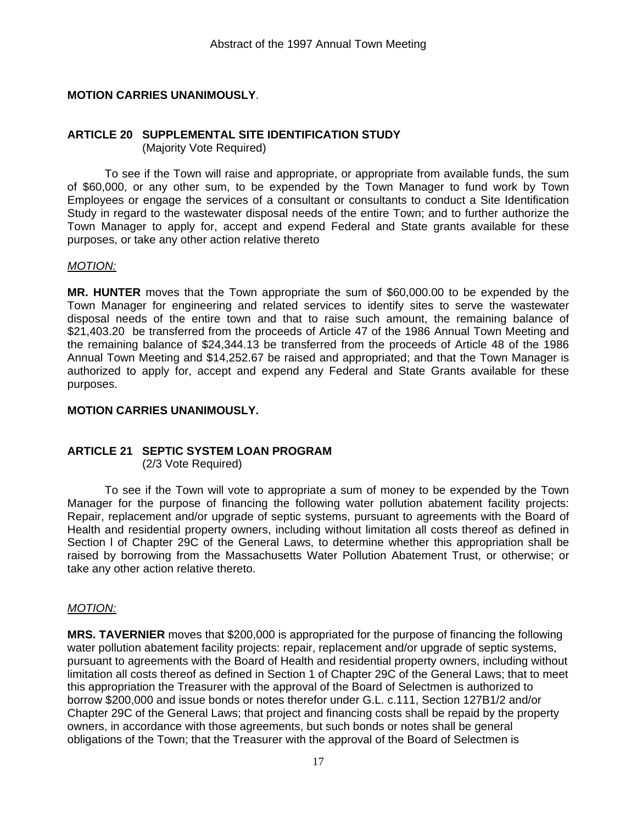### **MOTION CARRIES UNANIMOUSLY**.

#### **ARTICLE 20 SUPPLEMENTAL SITE IDENTIFICATION STUDY** (Majority Vote Required)

 To see if the Town will raise and appropriate, or appropriate from available funds, the sum of \$60,000, or any other sum, to be expended by the Town Manager to fund work by Town Employees or engage the services of a consultant or consultants to conduct a Site Identification Study in regard to the wastewater disposal needs of the entire Town; and to further authorize the Town Manager to apply for, accept and expend Federal and State grants available for these purposes, or take any other action relative thereto

### *MOTION:*

**MR. HUNTER** moves that the Town appropriate the sum of \$60,000.00 to be expended by the Town Manager for engineering and related services to identify sites to serve the wastewater disposal needs of the entire town and that to raise such amount, the remaining balance of \$21,403.20 be transferred from the proceeds of Article 47 of the 1986 Annual Town Meeting and the remaining balance of \$24,344.13 be transferred from the proceeds of Article 48 of the 1986 Annual Town Meeting and \$14,252.67 be raised and appropriated; and that the Town Manager is authorized to apply for, accept and expend any Federal and State Grants available for these purposes.

#### **MOTION CARRIES UNANIMOUSLY.**

### **ARTICLE 21 SEPTIC SYSTEM LOAN PROGRAM**

(2/3 Vote Required)

 To see if the Town will vote to appropriate a sum of money to be expended by the Town Manager for the purpose of financing the following water pollution abatement facility projects: Repair, replacement and/or upgrade of septic systems, pursuant to agreements with the Board of Health and residential property owners, including without limitation all costs thereof as defined in Section l of Chapter 29C of the General Laws, to determine whether this appropriation shall be raised by borrowing from the Massachusetts Water Pollution Abatement Trust, or otherwise; or take any other action relative thereto.

### *MOTION:*

**MRS. TAVERNIER** moves that \$200,000 is appropriated for the purpose of financing the following water pollution abatement facility projects: repair, replacement and/or upgrade of septic systems, pursuant to agreements with the Board of Health and residential property owners, including without limitation all costs thereof as defined in Section 1 of Chapter 29C of the General Laws; that to meet this appropriation the Treasurer with the approval of the Board of Selectmen is authorized to borrow \$200,000 and issue bonds or notes therefor under G.L. c.111, Section 127B1/2 and/or Chapter 29C of the General Laws; that project and financing costs shall be repaid by the property owners, in accordance with those agreements, but such bonds or notes shall be general obligations of the Town; that the Treasurer with the approval of the Board of Selectmen is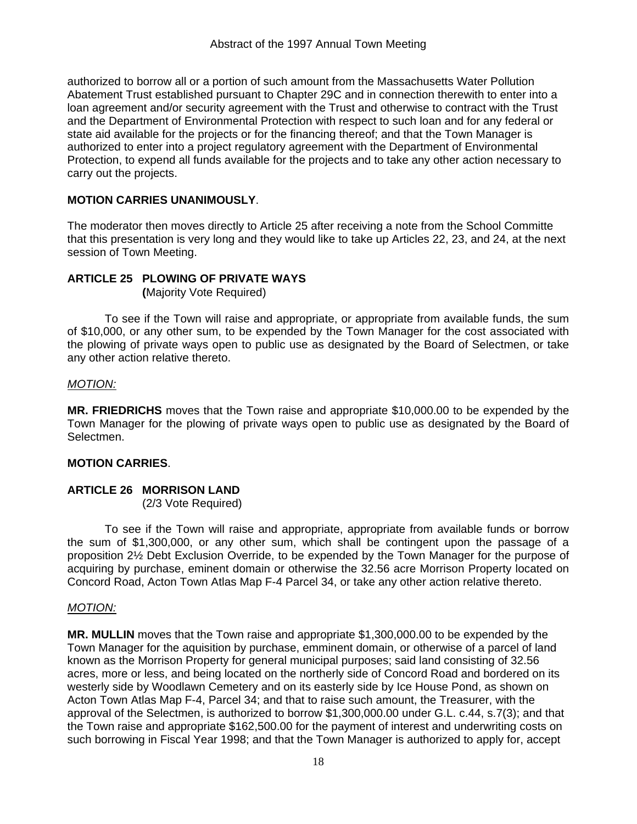authorized to borrow all or a portion of such amount from the Massachusetts Water Pollution Abatement Trust established pursuant to Chapter 29C and in connection therewith to enter into a loan agreement and/or security agreement with the Trust and otherwise to contract with the Trust and the Department of Environmental Protection with respect to such loan and for any federal or state aid available for the projects or for the financing thereof; and that the Town Manager is authorized to enter into a project regulatory agreement with the Department of Environmental Protection, to expend all funds available for the projects and to take any other action necessary to carry out the projects.

### **MOTION CARRIES UNANIMOUSLY**.

The moderator then moves directly to Article 25 after receiving a note from the School Committe that this presentation is very long and they would like to take up Articles 22, 23, and 24, at the next session of Town Meeting.

### **ARTICLE 25 PLOWING OF PRIVATE WAYS**

 **(**Majority Vote Required)

 To see if the Town will raise and appropriate, or appropriate from available funds, the sum of \$10,000, or any other sum, to be expended by the Town Manager for the cost associated with the plowing of private ways open to public use as designated by the Board of Selectmen, or take any other action relative thereto.

### *MOTION:*

**MR. FRIEDRICHS** moves that the Town raise and appropriate \$10,000.00 to be expended by the Town Manager for the plowing of private ways open to public use as designated by the Board of Selectmen.

### **MOTION CARRIES**.

### **ARTICLE 26 MORRISON LAND**

(2/3 Vote Required)

 To see if the Town will raise and appropriate, appropriate from available funds or borrow the sum of \$1,300,000, or any other sum, which shall be contingent upon the passage of a proposition 2½ Debt Exclusion Override, to be expended by the Town Manager for the purpose of acquiring by purchase, eminent domain or otherwise the 32.56 acre Morrison Property located on Concord Road, Acton Town Atlas Map F-4 Parcel 34, or take any other action relative thereto.

### *MOTION:*

**MR. MULLIN** moves that the Town raise and appropriate \$1,300,000.00 to be expended by the Town Manager for the aquisition by purchase, emminent domain, or otherwise of a parcel of land known as the Morrison Property for general municipal purposes; said land consisting of 32.56 acres, more or less, and being located on the northerly side of Concord Road and bordered on its westerly side by Woodlawn Cemetery and on its easterly side by Ice House Pond, as shown on Acton Town Atlas Map F-4, Parcel 34; and that to raise such amount, the Treasurer, with the approval of the Selectmen, is authorized to borrow \$1,300,000.00 under G.L. c.44, s.7(3); and that the Town raise and appropriate \$162,500.00 for the payment of interest and underwriting costs on such borrowing in Fiscal Year 1998; and that the Town Manager is authorized to apply for, accept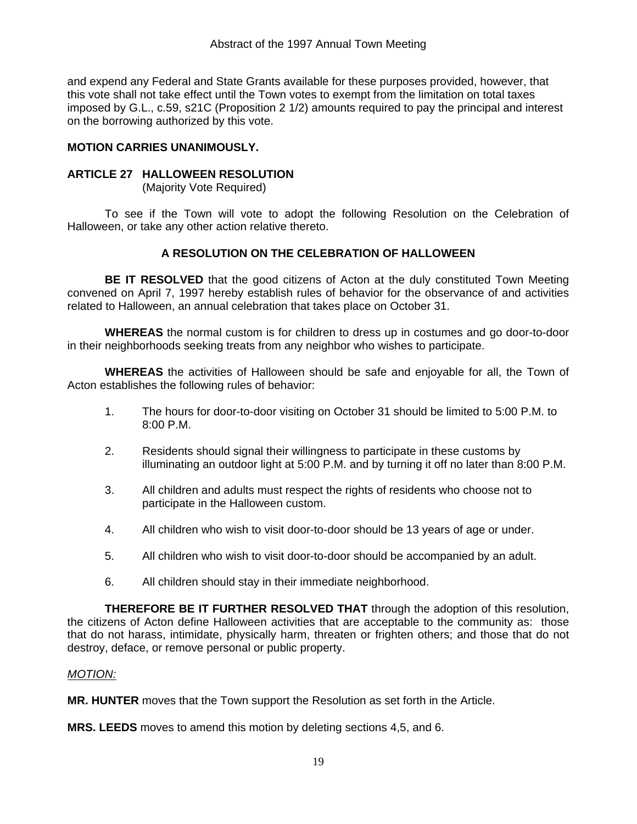and expend any Federal and State Grants available for these purposes provided, however, that this vote shall not take effect until the Town votes to exempt from the limitation on total taxes imposed by G.L., c.59, s21C (Proposition 2 1/2) amounts required to pay the principal and interest on the borrowing authorized by this vote.

### **MOTION CARRIES UNANIMOUSLY.**

### **ARTICLE 27 HALLOWEEN RESOLUTION**

(Majority Vote Required)

 To see if the Town will vote to adopt the following Resolution on the Celebration of Halloween, or take any other action relative thereto.

### **A RESOLUTION ON THE CELEBRATION OF HALLOWEEN**

**BE IT RESOLVED** that the good citizens of Acton at the duly constituted Town Meeting convened on April 7, 1997 hereby establish rules of behavior for the observance of and activities related to Halloween, an annual celebration that takes place on October 31.

**WHEREAS** the normal custom is for children to dress up in costumes and go door-to-door in their neighborhoods seeking treats from any neighbor who wishes to participate.

**WHEREAS** the activities of Halloween should be safe and enjoyable for all, the Town of Acton establishes the following rules of behavior:

- 1. The hours for door-to-door visiting on October 31 should be limited to 5:00 P.M. to 8:00 P.M.
- 2. Residents should signal their willingness to participate in these customs by illuminating an outdoor light at 5:00 P.M. and by turning it off no later than 8:00 P.M.
- 3. All children and adults must respect the rights of residents who choose not to participate in the Halloween custom.
- 4. All children who wish to visit door-to-door should be 13 years of age or under.
- 5. All children who wish to visit door-to-door should be accompanied by an adult.
- 6. All children should stay in their immediate neighborhood.

**THEREFORE BE IT FURTHER RESOLVED THAT** through the adoption of this resolution, the citizens of Acton define Halloween activities that are acceptable to the community as: those that do not harass, intimidate, physically harm, threaten or frighten others; and those that do not destroy, deface, or remove personal or public property.

### *MOTION:*

**MR. HUNTER** moves that the Town support the Resolution as set forth in the Article.

**MRS. LEEDS** moves to amend this motion by deleting sections 4,5, and 6.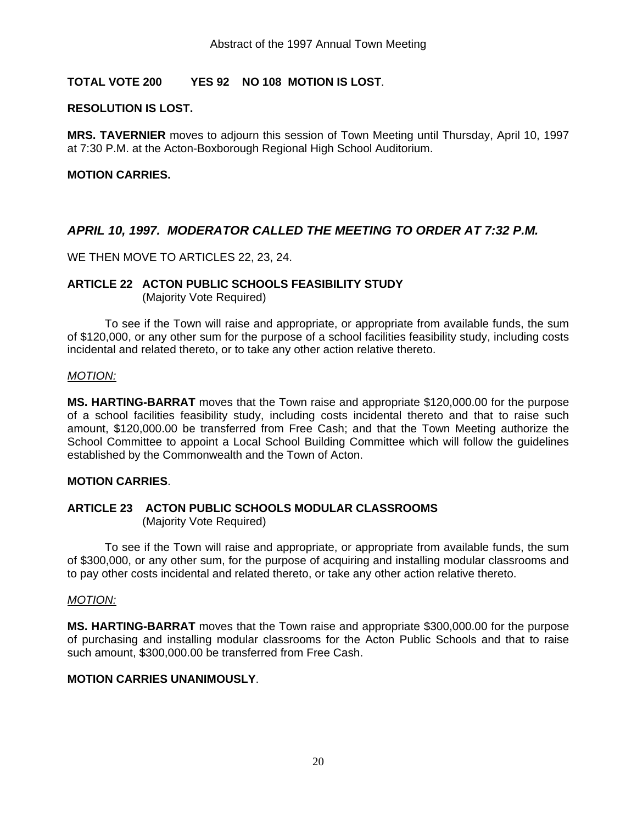### **TOTAL VOTE 200 YES 92 NO 108 MOTION IS LOST**.

### **RESOLUTION IS LOST.**

**MRS. TAVERNIER** moves to adjourn this session of Town Meeting until Thursday, April 10, 1997 at 7:30 P.M. at the Acton-Boxborough Regional High School Auditorium.

### **MOTION CARRIES.**

### *APRIL 10, 1997. MODERATOR CALLED THE MEETING TO ORDER AT 7:32 P.M.*

WE THEN MOVE TO ARTICLES 22, 23, 24.

### **ARTICLE 22 ACTON PUBLIC SCHOOLS FEASIBILITY STUDY**

(Majority Vote Required)

 To see if the Town will raise and appropriate, or appropriate from available funds, the sum of \$120,000, or any other sum for the purpose of a school facilities feasibility study, including costs incidental and related thereto, or to take any other action relative thereto.

#### *MOTION:*

**MS. HARTING-BARRAT** moves that the Town raise and appropriate \$120,000.00 for the purpose of a school facilities feasibility study, including costs incidental thereto and that to raise such amount, \$120,000.00 be transferred from Free Cash; and that the Town Meeting authorize the School Committee to appoint a Local School Building Committee which will follow the guidelines established by the Commonwealth and the Town of Acton.

### **MOTION CARRIES**.

### **ARTICLE 23 ACTON PUBLIC SCHOOLS MODULAR CLASSROOMS**

(Majority Vote Required)

 To see if the Town will raise and appropriate, or appropriate from available funds, the sum of \$300,000, or any other sum, for the purpose of acquiring and installing modular classrooms and to pay other costs incidental and related thereto, or take any other action relative thereto.

### *MOTION:*

**MS. HARTING-BARRAT** moves that the Town raise and appropriate \$300,000.00 for the purpose of purchasing and installing modular classrooms for the Acton Public Schools and that to raise such amount, \$300,000.00 be transferred from Free Cash.

### **MOTION CARRIES UNANIMOUSLY**.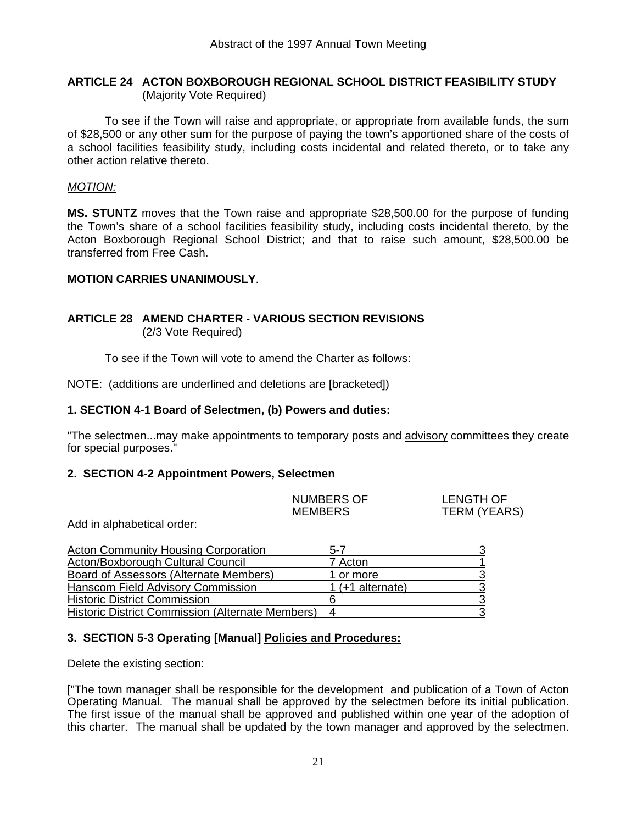### **ARTICLE 24 ACTON BOXBOROUGH REGIONAL SCHOOL DISTRICT FEASIBILITY STUDY**  (Majority Vote Required)

 To see if the Town will raise and appropriate, or appropriate from available funds, the sum of \$28,500 or any other sum for the purpose of paying the town's apportioned share of the costs of a school facilities feasibility study, including costs incidental and related thereto, or to take any other action relative thereto.

### *MOTION:*

**MS. STUNTZ** moves that the Town raise and appropriate \$28,500.00 for the purpose of funding the Town's share of a school facilities feasibility study, including costs incidental thereto, by the Acton Boxborough Regional School District; and that to raise such amount, \$28,500.00 be transferred from Free Cash.

### **MOTION CARRIES UNANIMOUSLY**.

### **ARTICLE 28 AMEND CHARTER - VARIOUS SECTION REVISIONS** (2/3 Vote Required)

To see if the Town will vote to amend the Charter as follows:

NOTE: (additions are underlined and deletions are [bracketed])

### **1. SECTION 4-1 Board of Selectmen, (b) Powers and duties:**

"The selectmen...may make appointments to temporary posts and advisory committees they create for special purposes."

### **2. SECTION 4-2 Appointment Powers, Selectmen**

|   | <b>NUMBERS OF</b><br><b>MEMBERS</b> | <b>LENGTH OF</b><br>TERM (YEARS) |
|---|-------------------------------------|----------------------------------|
| . |                                     |                                  |

Add in alphabetical order:

| <b>Acton Community Housing Corporation</b>       | 5-7                |  |
|--------------------------------------------------|--------------------|--|
| Acton/Boxborough Cultural Council                | 7 Acton            |  |
| Board of Assessors (Alternate Members)           | 1 or more          |  |
| Hanscom Field Advisory Commission                | 1 $(+1$ alternate) |  |
| <b>Historic District Commission</b>              |                    |  |
| Historic District Commission (Alternate Members) |                    |  |

### **3. SECTION 5-3 Operating [Manual] Policies and Procedures:**

Delete the existing section:

["The town manager shall be responsible for the development and publication of a Town of Acton Operating Manual. The manual shall be approved by the selectmen before its initial publication. The first issue of the manual shall be approved and published within one year of the adoption of this charter. The manual shall be updated by the town manager and approved by the selectmen.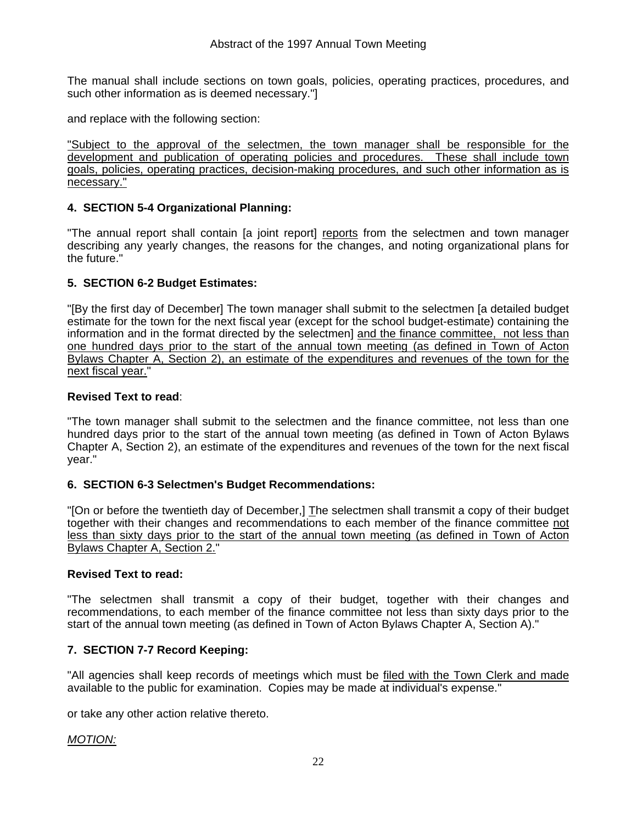The manual shall include sections on town goals, policies, operating practices, procedures, and such other information as is deemed necessary."]

and replace with the following section:

"Subject to the approval of the selectmen, the town manager shall be responsible for the development and publication of operating policies and procedures. These shall include town goals, policies, operating practices, decision-making procedures, and such other information as is necessary."

### **4. SECTION 5-4 Organizational Planning:**

"The annual report shall contain [a joint report] reports from the selectmen and town manager describing any yearly changes, the reasons for the changes, and noting organizational plans for the future."

### **5. SECTION 6-2 Budget Estimates:**

"[By the first day of December] The town manager shall submit to the selectmen [a detailed budget estimate for the town for the next fiscal year (except for the school budget-estimate) containing the information and in the format directed by the selectmen] and the finance committee, not less than one hundred days prior to the start of the annual town meeting (as defined in Town of Acton Bylaws Chapter A, Section 2), an estimate of the expenditures and revenues of the town for the next fiscal year."

### **Revised Text to read**:

"The town manager shall submit to the selectmen and the finance committee, not less than one hundred days prior to the start of the annual town meeting (as defined in Town of Acton Bylaws Chapter A, Section 2), an estimate of the expenditures and revenues of the town for the next fiscal year."

### **6. SECTION 6-3 Selectmen's Budget Recommendations:**

"[On or before the twentieth day of December,] The selectmen shall transmit a copy of their budget together with their changes and recommendations to each member of the finance committee not less than sixty days prior to the start of the annual town meeting (as defined in Town of Acton Bylaws Chapter A, Section 2."

### **Revised Text to read:**

"The selectmen shall transmit a copy of their budget, together with their changes and recommendations, to each member of the finance committee not less than sixty days prior to the start of the annual town meeting (as defined in Town of Acton Bylaws Chapter A, Section A)."

### **7. SECTION 7-7 Record Keeping:**

"All agencies shall keep records of meetings which must be filed with the Town Clerk and made available to the public for examination. Copies may be made at individual's expense."

or take any other action relative thereto.

### *MOTION:*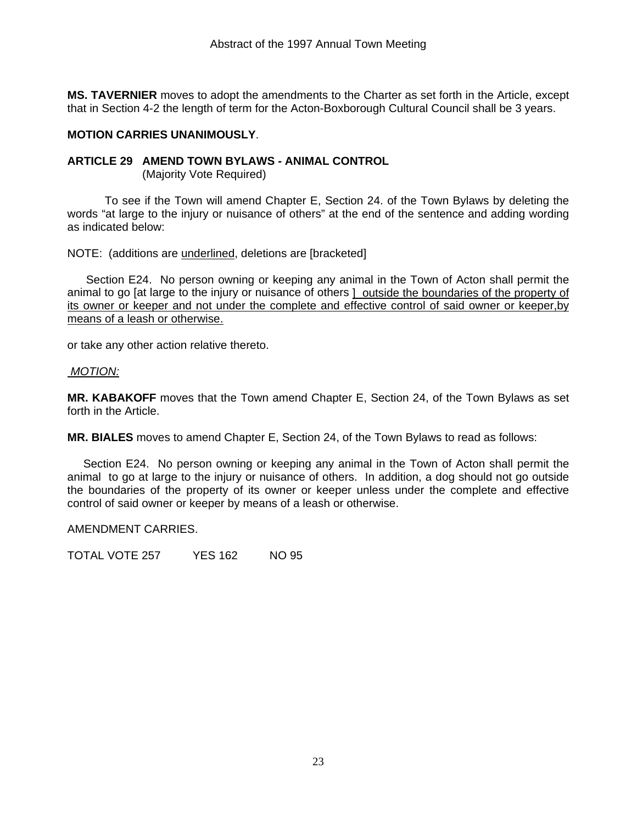**MS. TAVERNIER** moves to adopt the amendments to the Charter as set forth in the Article, except that in Section 4-2 the length of term for the Acton-Boxborough Cultural Council shall be 3 years.

### **MOTION CARRIES UNANIMOUSLY**.

### **ARTICLE 29 AMEND TOWN BYLAWS - ANIMAL CONTROL**

(Majority Vote Required)

 To see if the Town will amend Chapter E, Section 24. of the Town Bylaws by deleting the words "at large to the injury or nuisance of others" at the end of the sentence and adding wording as indicated below:

NOTE: (additions are underlined, deletions are [bracketed]

 Section E24. No person owning or keeping any animal in the Town of Acton shall permit the animal to go [at large to the injury or nuisance of others ] outside the boundaries of the property of its owner or keeper and not under the complete and effective control of said owner or keeper,by means of a leash or otherwise.

or take any other action relative thereto.

### *MOTION:*

**MR. KABAKOFF** moves that the Town amend Chapter E, Section 24, of the Town Bylaws as set forth in the Article.

**MR. BIALES** moves to amend Chapter E, Section 24, of the Town Bylaws to read as follows:

 Section E24. No person owning or keeping any animal in the Town of Acton shall permit the animal to go at large to the injury or nuisance of others. In addition, a dog should not go outside the boundaries of the property of its owner or keeper unless under the complete and effective control of said owner or keeper by means of a leash or otherwise.

### AMENDMENT CARRIES.

TOTAL VOTE 257 YES 162 NO 95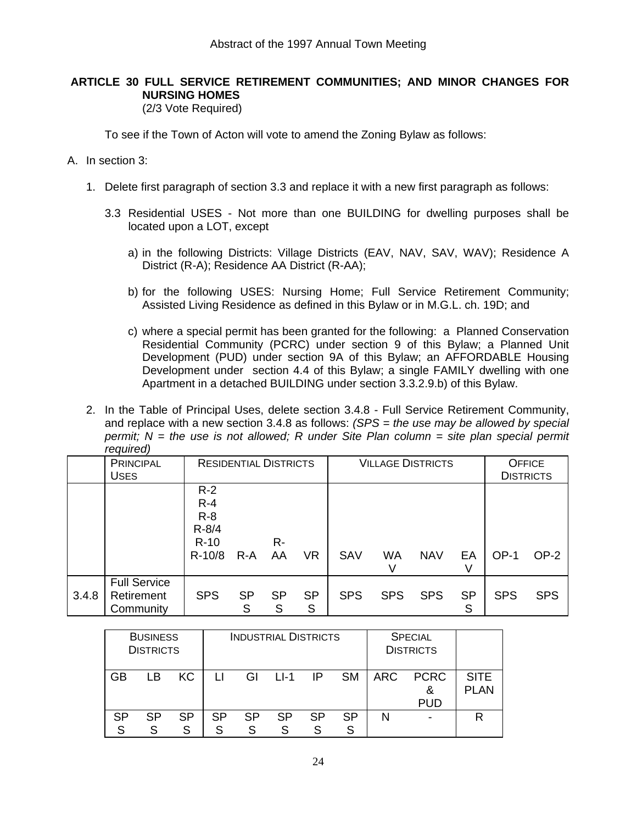### **ARTICLE 30 FULL SERVICE RETIREMENT COMMUNITIES; AND MINOR CHANGES FOR NURSING HOMES**

(2/3 Vote Required)

To see if the Town of Acton will vote to amend the Zoning Bylaw as follows:

### A. In section 3:

- 1. Delete first paragraph of section 3.3 and replace it with a new first paragraph as follows:
	- 3.3 Residential USES Not more than one BUILDING for dwelling purposes shall be located upon a LOT, except
		- a) in the following Districts: Village Districts (EAV, NAV, SAV, WAV); Residence A District (R-A); Residence AA District (R-AA);
		- b) for the following USES: Nursing Home; Full Service Retirement Community; Assisted Living Residence as defined in this Bylaw or in M.G.L. ch. 19D; and
		- c) where a special permit has been granted for the following: a Planned Conservation Residential Community (PCRC) under section 9 of this Bylaw; a Planned Unit Development (PUD) under section 9A of this Bylaw; an AFFORDABLE Housing Development under section 4.4 of this Bylaw; a single FAMILY dwelling with one Apartment in a detached BUILDING under section 3.3.2.9.b) of this Bylaw.
- 2. In the Table of Principal Uses, delete section 3.4.8 Full Service Retirement Community, and replace with a new section 3.4.8 as follows: *(SPS = the use may be allowed by special permit:*  $N =$  the use is not allowed: R under Site Plan column = site plan special permit *required)*

|       | <b>PRINCIPAL</b><br><b>USES</b>                |                                                                | <b>RESIDENTIAL DISTRICTS</b> |                |                | <b>VILLAGE DISTRICTS</b> |            |            | <b>OFFICE</b><br><b>DISTRICTS</b> |            |            |
|-------|------------------------------------------------|----------------------------------------------------------------|------------------------------|----------------|----------------|--------------------------|------------|------------|-----------------------------------|------------|------------|
|       |                                                | $R-2$<br>$R - 4$<br>$R - 8$<br>$R - 8/4$<br>$R-10$<br>$R-10/8$ | $R-A$                        | R-<br>AA       | <b>VR</b>      | <b>SAV</b>               | WA<br>V    | <b>NAV</b> | EA<br>V                           | OP-1       | $OP-2$     |
| 3.4.8 | <b>Full Service</b><br>Retirement<br>Community | <b>SPS</b>                                                     | <b>SP</b><br>S               | <b>SP</b><br>S | <b>SP</b><br>S | <b>SPS</b>               | <b>SPS</b> | <b>SPS</b> | <b>SP</b><br>S                    | <b>SPS</b> | <b>SPS</b> |

| <b>BUSINESS</b><br><b>DISTRICTS</b> |     |         |    |           | <b>INDUSTRIAL DISTRICTS</b> |           |           | <b>SPECIAL</b><br><b>DISTRICTS</b> |                           |                      |
|-------------------------------------|-----|---------|----|-----------|-----------------------------|-----------|-----------|------------------------------------|---------------------------|----------------------|
| GB                                  | I B | KC.     |    | GI        | $11-1$                      | ΙP        | <b>SM</b> | <b>ARC</b>                         | <b>PCRC</b><br><b>PUD</b> | <b>SITE</b><br>PI AN |
| 9 O                                 | SP  | SP<br>S | SP | <b>SP</b> | <b>SP</b>                   | <b>SP</b> | <b>SP</b> | N                                  |                           | R                    |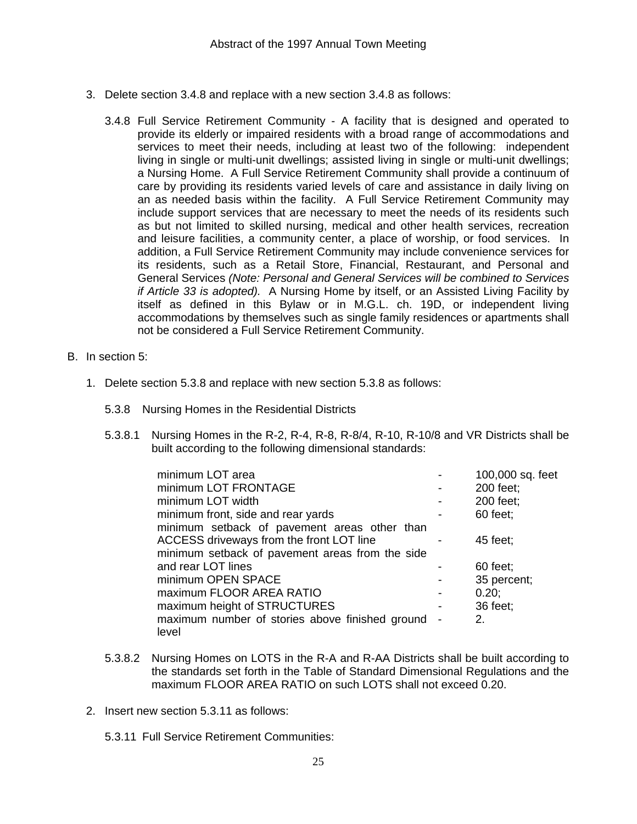- 3. Delete section 3.4.8 and replace with a new section 3.4.8 as follows:
	- 3.4.8 Full Service Retirement Community A facility that is designed and operated to provide its elderly or impaired residents with a broad range of accommodations and services to meet their needs, including at least two of the following: independent living in single or multi-unit dwellings; assisted living in single or multi-unit dwellings; a Nursing Home. A Full Service Retirement Community shall provide a continuum of care by providing its residents varied levels of care and assistance in daily living on an as needed basis within the facility. A Full Service Retirement Community may include support services that are necessary to meet the needs of its residents such as but not limited to skilled nursing, medical and other health services, recreation and leisure facilities, a community center, a place of worship, or food services.In addition, a Full Service Retirement Community may include convenience services for its residents, such as a Retail Store, Financial, Restaurant, and Personal and General Services *(Note: Personal and General Services will be combined to Services if Article 33 is adopted).* A Nursing Home by itself, or an Assisted Living Facility by itself as defined in this Bylaw or in M.G.L. ch. 19D, or independent living accommodations by themselves such as single family residences or apartments shall not be considered a Full Service Retirement Community.
- B. In section 5:
	- 1. Delete section 5.3.8 and replace with new section 5.3.8 as follows:
		- 5.3.8 Nursing Homes in the Residential Districts
		- 5.3.8.1 Nursing Homes in the R-2, R-4, R-8, R-8/4, R-10, R-10/8 and VR Districts shall be built according to the following dimensional standards:

| 100,000 sq. feet                                                                                                                                   |
|----------------------------------------------------------------------------------------------------------------------------------------------------|
| 200 feet;                                                                                                                                          |
| 200 feet;                                                                                                                                          |
| 60 feet;                                                                                                                                           |
|                                                                                                                                                    |
| 45 feet;                                                                                                                                           |
|                                                                                                                                                    |
| $60$ feet;                                                                                                                                         |
| 35 percent;                                                                                                                                        |
| $0.20$ ;                                                                                                                                           |
| 36 feet;                                                                                                                                           |
| 2.                                                                                                                                                 |
|                                                                                                                                                    |
| minimum setback of pavement areas other than<br>minimum setback of pavement areas from the side<br>maximum number of stories above finished ground |

- 5.3.8.2 Nursing Homes on LOTS in the R-A and R-AA Districts shall be built according to the standards set forth in the Table of Standard Dimensional Regulations and the maximum FLOOR AREA RATIO on such LOTS shall not exceed 0.20.
- 2. Insert new section 5.3.11 as follows:
	- 5.3.11 Full Service Retirement Communities: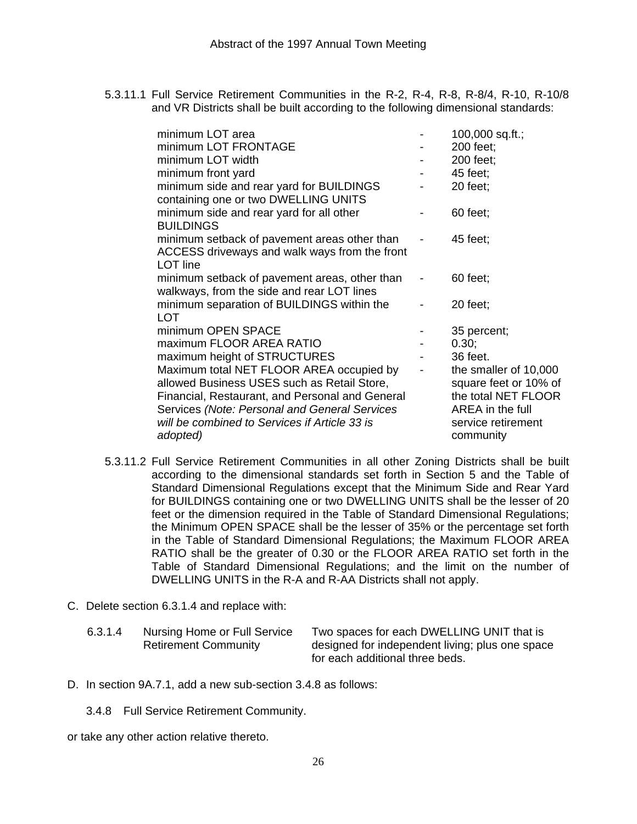5.3.11.1 Full Service Retirement Communities in the R-2, R-4, R-8, R-8/4, R-10, R-10/8 and VR Districts shall be built according to the following dimensional standards:

| minimum LOT area                                |                          | $100,000$ sq.ft.;     |
|-------------------------------------------------|--------------------------|-----------------------|
| minimum LOT FRONTAGE                            |                          | 200 feet;             |
| minimum LOT width                               |                          | 200 feet:             |
| minimum front yard                              |                          | 45 feet;              |
| minimum side and rear yard for BUILDINGS        |                          | 20 feet;              |
| containing one or two DWELLING UNITS            |                          |                       |
| minimum side and rear yard for all other        |                          | 60 feet;              |
| <b>BUILDINGS</b>                                |                          |                       |
| minimum setback of pavement areas other than    |                          | 45 feet;              |
| ACCESS driveways and walk ways from the front   |                          |                       |
| <b>LOT</b> line                                 |                          |                       |
| minimum setback of pavement areas, other than   |                          | $60$ feet;            |
| walkways, from the side and rear LOT lines      |                          |                       |
| minimum separation of BUILDINGS within the      |                          | $20$ feet;            |
| <b>LOT</b>                                      |                          |                       |
| minimum OPEN SPACE                              |                          | 35 percent;           |
| maximum FLOOR AREA RATIO                        |                          | 0.30;                 |
| maximum height of STRUCTURES                    |                          | 36 feet.              |
| Maximum total NET FLOOR AREA occupied by        | $\overline{\phantom{0}}$ | the smaller of 10,000 |
| allowed Business USES such as Retail Store,     |                          | square feet or 10% of |
| Financial, Restaurant, and Personal and General |                          | the total NET FLOOR   |
| Services (Note: Personal and General Services   |                          | AREA in the full      |
| will be combined to Services if Article 33 is   |                          | service retirement    |
| adopted)                                        |                          | community             |

- 5.3.11.2 Full Service Retirement Communities in all other Zoning Districts shall be built according to the dimensional standards set forth in Section 5 and the Table of Standard Dimensional Regulations except that the Minimum Side and Rear Yard for BUILDINGS containing one or two DWELLING UNITS shall be the lesser of 20 feet or the dimension required in the Table of Standard Dimensional Regulations; the Minimum OPEN SPACE shall be the lesser of 35% or the percentage set forth in the Table of Standard Dimensional Regulations; the Maximum FLOOR AREA RATIO shall be the greater of 0.30 or the FLOOR AREA RATIO set forth in the Table of Standard Dimensional Regulations; and the limit on the number of DWELLING UNITS in the R-A and R-AA Districts shall not apply.
- C. Delete section 6.3.1.4 and replace with:
	- 6.3.1.4 Nursing Home or Full Service Retirement Community

Two spaces for each DWELLING UNIT that is designed for independent living; plus one space for each additional three beds.

 $of$ 

- D. In section 9A.7.1, add a new sub-section 3.4.8 as follows:
	- 3.4.8 Full Service Retirement Community.

or take any other action relative thereto.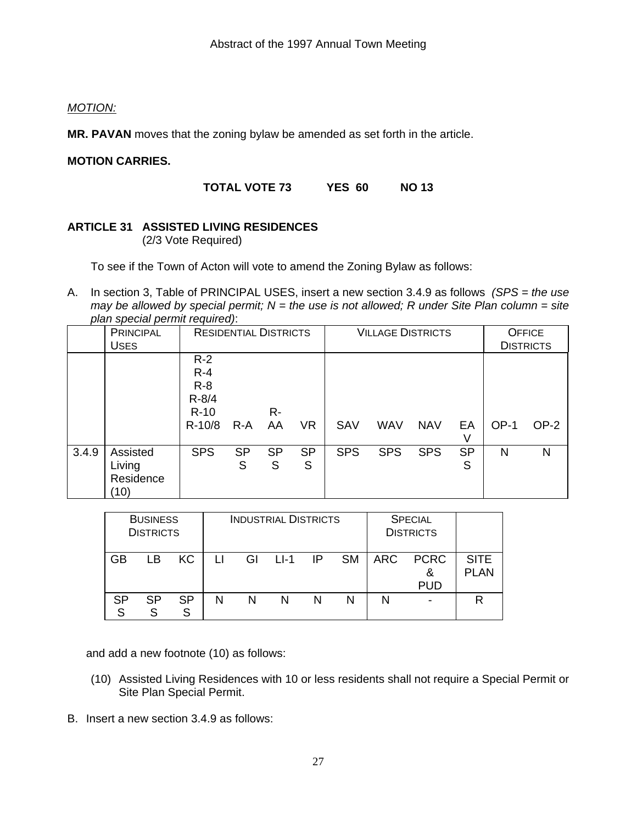### *MOTION:*

**MR. PAVAN** moves that the zoning bylaw be amended as set forth in the article.

### **MOTION CARRIES.**

**TOTAL VOTE 73 YES 60 NO 13** 

### **ARTICLE 31 ASSISTED LIVING RESIDENCES**

(2/3 Vote Required)

To see if the Town of Acton will vote to amend the Zoning Bylaw as follows:

A. In section 3, Table of PRINCIPAL USES, insert a new section 3.4.9 as follows *(SPS = the use may be allowed by special permit; N = the use is not allowed; R under Site Plan column = site plan special permit required)*:

|       | pian opoolar ponnint roqall oayt<br><b>PRINCIPAL</b><br><b>USES</b> |                                                              | <b>RESIDENTIAL DISTRICTS</b> |                |                | <b>VILLAGE DISTRICTS</b> |            |            |                | <b>OFFICE</b><br><b>DISTRICTS</b> |        |
|-------|---------------------------------------------------------------------|--------------------------------------------------------------|------------------------------|----------------|----------------|--------------------------|------------|------------|----------------|-----------------------------------|--------|
|       |                                                                     | $R-2$<br>$R - 4$<br>$R-8$<br>$R - 8/4$<br>$R-10$<br>$R-10/8$ | $R-A$                        | R-<br>AA       | VR             | SAV                      | <b>WAV</b> | <b>NAV</b> | EA<br>V        | $OP-1$                            | $OP-2$ |
| 3.4.9 | Assisted<br>Living<br>Residence<br>(10)                             | <b>SPS</b>                                                   | <b>SP</b><br>S               | <b>SP</b><br>S | <b>SP</b><br>S | <b>SPS</b>               | <b>SPS</b> | <b>SPS</b> | <b>SP</b><br>S | N                                 | N      |

|    | <b>BUSINESS</b><br><b>DISTRICTS</b> |                | <b>INDUSTRIAL DISTRICTS</b><br><b>SPECIAL</b><br><b>DISTRICTS</b> |    |           |   |           |            |                                |                            |
|----|-------------------------------------|----------------|-------------------------------------------------------------------|----|-----------|---|-----------|------------|--------------------------------|----------------------------|
| GB | LВ                                  | KC.            | $\mathsf{L}$                                                      | GI | $LI-1$ IP |   | <b>SM</b> | <b>ARC</b> | <b>PCRC</b><br>&<br><b>PUD</b> | <b>SITE</b><br><b>PLAN</b> |
| SP | <b>SP</b>                           | <b>SP</b><br>S | N                                                                 | N  | N         | N | N         | N          |                                | R                          |

and add a new footnote (10) as follows:

- (10) Assisted Living Residences with 10 or less residents shall not require a Special Permit or Site Plan Special Permit.
- B. Insert a new section 3.4.9 as follows: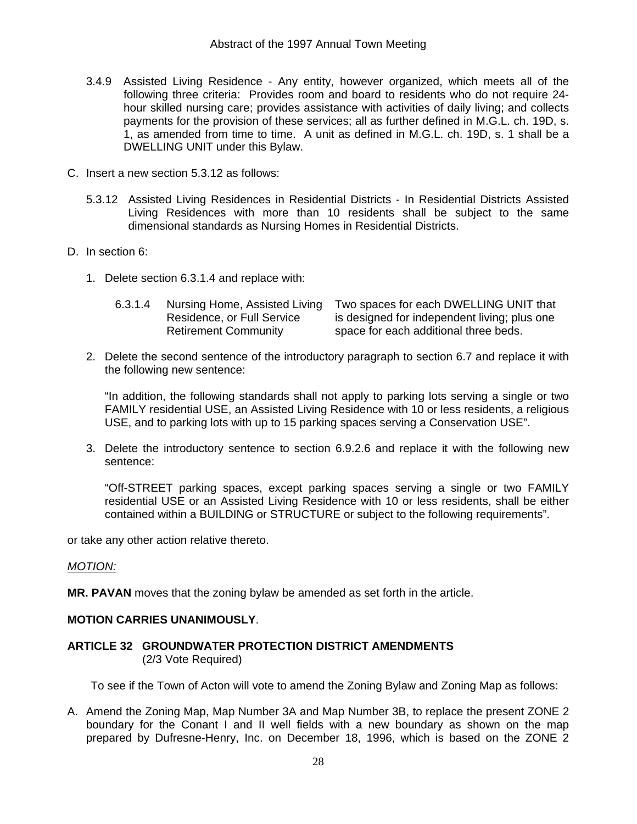- 3.4.9 Assisted Living Residence Any entity, however organized, which meets all of the following three criteria: Provides room and board to residents who do not require 24 hour skilled nursing care; provides assistance with activities of daily living; and collects payments for the provision of these services; all as further defined in M.G.L. ch. 19D, s. 1, as amended from time to time. A unit as defined in M.G.L. ch. 19D, s. 1 shall be a DWELLING UNIT under this Bylaw.
- C. Insert a new section 5.3.12 as follows:
	- 5.3.12 Assisted Living Residences in Residential Districts In Residential Districts Assisted Living Residences with more than 10 residents shall be subject to the same dimensional standards as Nursing Homes in Residential Districts.
- D. In section 6:
	- 1. Delete section 6.3.1.4 and replace with:

| 6.3.1.4 | Nursing Home, Assisted Living | Two spaces for each DWELLING UNIT that       |
|---------|-------------------------------|----------------------------------------------|
|         | Residence, or Full Service    | is designed for independent living; plus one |
|         | <b>Retirement Community</b>   | space for each additional three beds.        |

2. Delete the second sentence of the introductory paragraph to section 6.7 and replace it with the following new sentence:

 "In addition, the following standards shall not apply to parking lots serving a single or two FAMILY residential USE, an Assisted Living Residence with 10 or less residents, a religious USE, and to parking lots with up to 15 parking spaces serving a Conservation USE".

3. Delete the introductory sentence to section 6.9.2.6 and replace it with the following new sentence:

 "Off-STREET parking spaces, except parking spaces serving a single or two FAMILY residential USE or an Assisted Living Residence with 10 or less residents, shall be either contained within a BUILDING or STRUCTURE or subject to the following requirements".

or take any other action relative thereto.

### *MOTION:*

**MR. PAVAN** moves that the zoning bylaw be amended as set forth in the article.

### **MOTION CARRIES UNANIMOUSLY**.

### **ARTICLE 32 GROUNDWATER PROTECTION DISTRICT AMENDMENTS**  (2/3 Vote Required)

To see if the Town of Acton will vote to amend the Zoning Bylaw and Zoning Map as follows:

A. Amend the Zoning Map, Map Number 3A and Map Number 3B, to replace the present ZONE 2 boundary for the Conant I and II well fields with a new boundary as shown on the map prepared by Dufresne-Henry, Inc. on December 18, 1996, which is based on the ZONE 2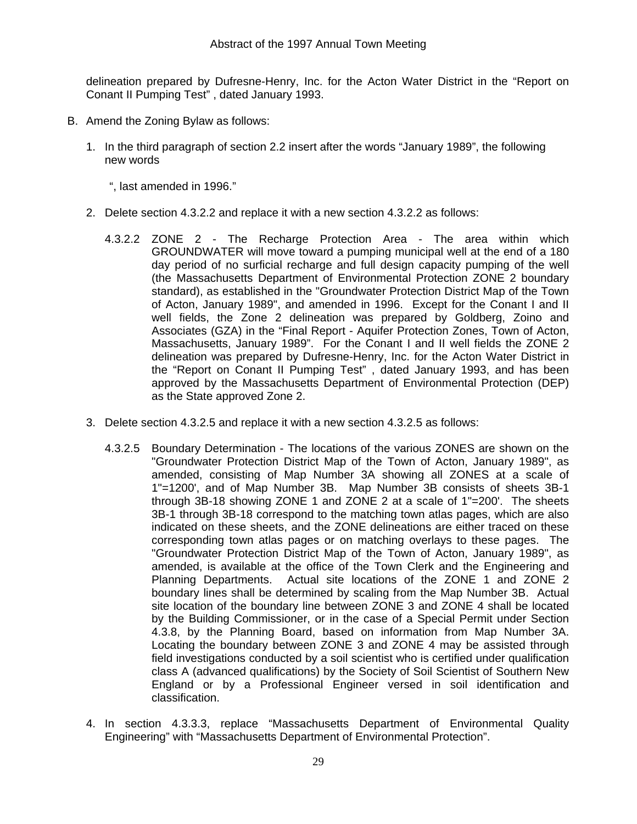delineation prepared by Dufresne-Henry, Inc. for the Acton Water District in the "Report on Conant II Pumping Test" , dated January 1993.

- B. Amend the Zoning Bylaw as follows:
	- 1. In the third paragraph of section 2.2 insert after the words "January 1989", the following new words
		- ", last amended in 1996."
	- 2. Delete section 4.3.2.2 and replace it with a new section 4.3.2.2 as follows:
		- 4.3.2.2 ZONE 2 The Recharge Protection Area The area within which GROUNDWATER will move toward a pumping municipal well at the end of a 180 day period of no surficial recharge and full design capacity pumping of the well (the Massachusetts Department of Environmental Protection ZONE 2 boundary standard), as established in the "Groundwater Protection District Map of the Town of Acton, January 1989", and amended in 1996. Except for the Conant I and II well fields, the Zone 2 delineation was prepared by Goldberg, Zoino and Associates (GZA) in the "Final Report - Aquifer Protection Zones, Town of Acton, Massachusetts, January 1989". For the Conant I and II well fields the ZONE 2 delineation was prepared by Dufresne-Henry, Inc. for the Acton Water District in the "Report on Conant II Pumping Test" , dated January 1993, and has been approved by the Massachusetts Department of Environmental Protection (DEP) as the State approved Zone 2.
	- 3. Delete section 4.3.2.5 and replace it with a new section 4.3.2.5 as follows:
		- 4.3.2.5 Boundary Determination The locations of the various ZONES are shown on the "Groundwater Protection District Map of the Town of Acton, January 1989", as amended, consisting of Map Number 3A showing all ZONES at a scale of 1"=1200', and of Map Number 3B. Map Number 3B consists of sheets 3B-1 through 3B-18 showing ZONE 1 and ZONE 2 at a scale of 1"=200'. The sheets 3B-1 through 3B-18 correspond to the matching town atlas pages, which are also indicated on these sheets, and the ZONE delineations are either traced on these corresponding town atlas pages or on matching overlays to these pages. The "Groundwater Protection District Map of the Town of Acton, January 1989", as amended, is available at the office of the Town Clerk and the Engineering and Planning Departments. Actual site locations of the ZONE 1 and ZONE 2 boundary lines shall be determined by scaling from the Map Number 3B. Actual site location of the boundary line between ZONE 3 and ZONE 4 shall be located by the Building Commissioner, or in the case of a Special Permit under Section 4.3.8, by the Planning Board, based on information from Map Number 3A. Locating the boundary between ZONE 3 and ZONE 4 may be assisted through field investigations conducted by a soil scientist who is certified under qualification class A (advanced qualifications) by the Society of Soil Scientist of Southern New England or by a Professional Engineer versed in soil identification and classification.
	- 4. In section 4.3.3.3, replace "Massachusetts Department of Environmental Quality Engineering" with "Massachusetts Department of Environmental Protection".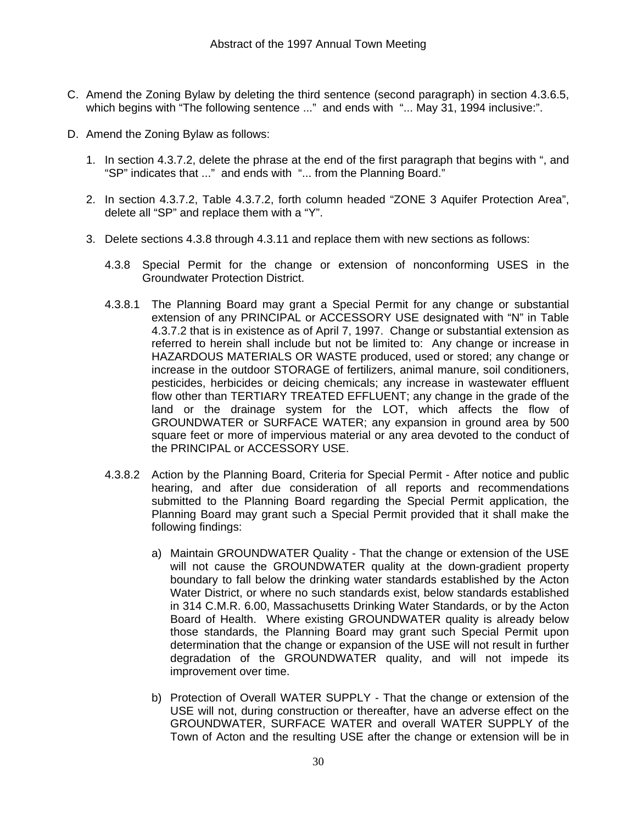- C. Amend the Zoning Bylaw by deleting the third sentence (second paragraph) in section 4.3.6.5, which begins with "The following sentence ..." and ends with "... May 31, 1994 inclusive:".
- D. Amend the Zoning Bylaw as follows:
	- 1. In section 4.3.7.2, delete the phrase at the end of the first paragraph that begins with ", and "SP" indicates that ..." and ends with "... from the Planning Board."
	- 2. In section 4.3.7.2, Table 4.3.7.2, forth column headed "ZONE 3 Aquifer Protection Area", delete all "SP" and replace them with a "Y".
	- 3. Delete sections 4.3.8 through 4.3.11 and replace them with new sections as follows:
		- 4.3.8 Special Permit for the change or extension of nonconforming USES in the Groundwater Protection District.
		- 4.3.8.1 The Planning Board may grant a Special Permit for any change or substantial extension of any PRINCIPAL or ACCESSORY USE designated with "N" in Table 4.3.7.2 that is in existence as of April 7, 1997. Change or substantial extension as referred to herein shall include but not be limited to: Any change or increase in HAZARDOUS MATERIALS OR WASTE produced, used or stored; any change or increase in the outdoor STORAGE of fertilizers, animal manure, soil conditioners, pesticides, herbicides or deicing chemicals; any increase in wastewater effluent flow other than TERTIARY TREATED EFFLUENT; any change in the grade of the land or the drainage system for the LOT, which affects the flow of GROUNDWATER or SURFACE WATER; any expansion in ground area by 500 square feet or more of impervious material or any area devoted to the conduct of the PRINCIPAL or ACCESSORY USE.
		- 4.3.8.2 Action by the Planning Board, Criteria for Special Permit After notice and public hearing, and after due consideration of all reports and recommendations submitted to the Planning Board regarding the Special Permit application, the Planning Board may grant such a Special Permit provided that it shall make the following findings:
			- a) Maintain GROUNDWATER Quality That the change or extension of the USE will not cause the GROUNDWATER quality at the down-gradient property boundary to fall below the drinking water standards established by the Acton Water District, or where no such standards exist, below standards established in 314 C.M.R. 6.00, Massachusetts Drinking Water Standards, or by the Acton Board of Health. Where existing GROUNDWATER quality is already below those standards, the Planning Board may grant such Special Permit upon determination that the change or expansion of the USE will not result in further degradation of the GROUNDWATER quality, and will not impede its improvement over time.
			- b) Protection of Overall WATER SUPPLY That the change or extension of the USE will not, during construction or thereafter, have an adverse effect on the GROUNDWATER, SURFACE WATER and overall WATER SUPPLY of the Town of Acton and the resulting USE after the change or extension will be in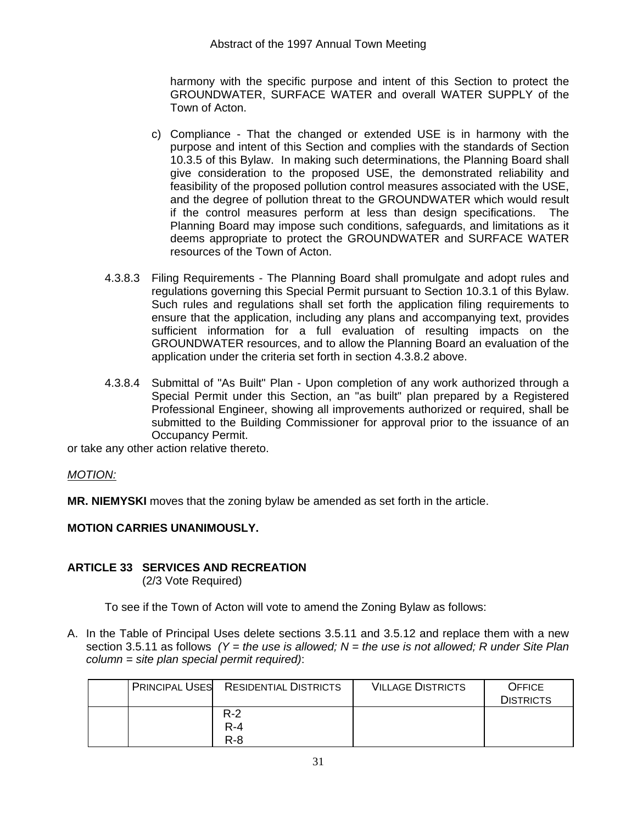harmony with the specific purpose and intent of this Section to protect the GROUNDWATER, SURFACE WATER and overall WATER SUPPLY of the Town of Acton.

- c) Compliance That the changed or extended USE is in harmony with the purpose and intent of this Section and complies with the standards of Section 10.3.5 of this Bylaw. In making such determinations, the Planning Board shall give consideration to the proposed USE, the demonstrated reliability and feasibility of the proposed pollution control measures associated with the USE, and the degree of pollution threat to the GROUNDWATER which would result if the control measures perform at less than design specifications. The Planning Board may impose such conditions, safeguards, and limitations as it deems appropriate to protect the GROUNDWATER and SURFACE WATER resources of the Town of Acton.
- 4.3.8.3 Filing Requirements The Planning Board shall promulgate and adopt rules and regulations governing this Special Permit pursuant to Section 10.3.1 of this Bylaw. Such rules and regulations shall set forth the application filing requirements to ensure that the application, including any plans and accompanying text, provides sufficient information for a full evaluation of resulting impacts on the GROUNDWATER resources, and to allow the Planning Board an evaluation of the application under the criteria set forth in section 4.3.8.2 above.
- 4.3.8.4 Submittal of "As Built" Plan Upon completion of any work authorized through a Special Permit under this Section, an "as built" plan prepared by a Registered Professional Engineer, showing all improvements authorized or required, shall be submitted to the Building Commissioner for approval prior to the issuance of an Occupancy Permit.

or take any other action relative thereto.

### *MOTION:*

**MR. NIEMYSKI** moves that the zoning bylaw be amended as set forth in the article.

### **MOTION CARRIES UNANIMOUSLY.**

# **ARTICLE 33 SERVICES AND RECREATION**

(2/3 Vote Required)

To see if the Town of Acton will vote to amend the Zoning Bylaw as follows:

A. In the Table of Principal Uses delete sections 3.5.11 and 3.5.12 and replace them with a new section 3.5.11 as follows *(Y = the use is allowed; N = the use is not allowed; R under Site Plan column = site plan special permit required)*:

|  | <b>PRINCIPAL USES RESIDENTIAL DISTRICTS</b> | <b>VILLAGE DISTRICTS</b> | <b>OFFICE</b>    |
|--|---------------------------------------------|--------------------------|------------------|
|  |                                             |                          | <b>DISTRICTS</b> |
|  | $R-2$                                       |                          |                  |
|  | $R - 4$                                     |                          |                  |
|  | $R - 8$                                     |                          |                  |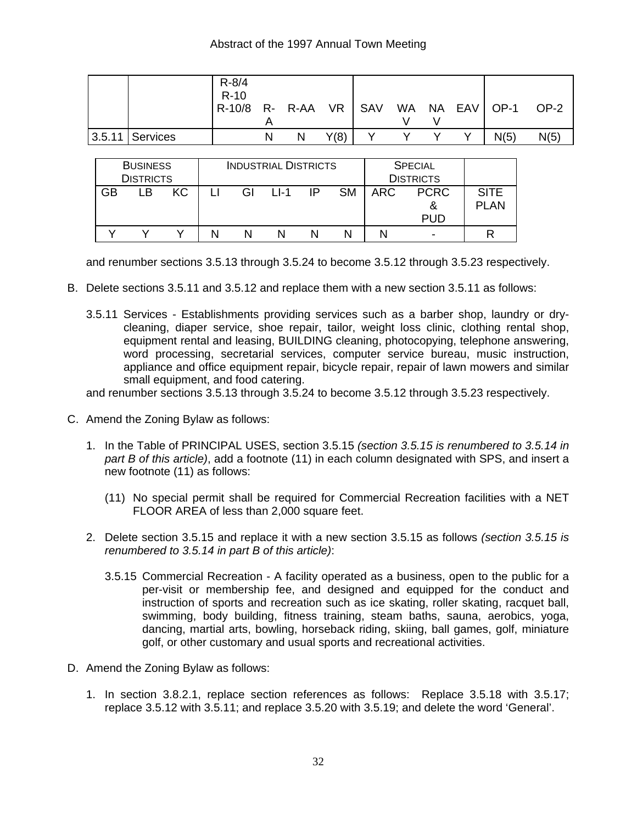|                     | $R - 8/4$<br>$R-10$<br> R-10/8 R- R-AA VR   SAV WA NA EAV   OP-1 |   |   |      |  |  |      | OP-2 |
|---------------------|------------------------------------------------------------------|---|---|------|--|--|------|------|
| $ 3.5.11 $ Services |                                                                  | N | N | Y(8) |  |  | N(5) | N(5) |

|    | <b>BUSINESS</b><br><b>DISTRICTS</b> |    |    | <b>INDUSTRIAL DISTRICTS</b> |    |           | <b>SPECIAL</b><br><b>DISTRICTS</b> |                                |                            |
|----|-------------------------------------|----|----|-----------------------------|----|-----------|------------------------------------|--------------------------------|----------------------------|
| GB | l B                                 | КC | GI | $11-1$                      | IP | <b>SM</b> | ARC                                | <b>PCRC</b><br>&<br><b>PUD</b> | <b>SITE</b><br><b>PLAN</b> |
|    |                                     |    |    |                             |    |           |                                    |                                |                            |

and renumber sections 3.5.13 through 3.5.24 to become 3.5.12 through 3.5.23 respectively.

- B. Delete sections 3.5.11 and 3.5.12 and replace them with a new section 3.5.11 as follows:
	- 3.5.11 Services Establishments providing services such as a barber shop, laundry or drycleaning, diaper service, shoe repair, tailor, weight loss clinic, clothing rental shop, equipment rental and leasing, BUILDING cleaning, photocopying, telephone answering, word processing, secretarial services, computer service bureau, music instruction, appliance and office equipment repair, bicycle repair, repair of lawn mowers and similar small equipment, and food catering.

and renumber sections 3.5.13 through 3.5.24 to become 3.5.12 through 3.5.23 respectively.

- C. Amend the Zoning Bylaw as follows:
	- 1. In the Table of PRINCIPAL USES, section 3.5.15 *(section 3.5.15 is renumbered to 3.5.14 in part B of this article)*, add a footnote (11) in each column designated with SPS, and insert a new footnote (11) as follows:
		- (11) No special permit shall be required for Commercial Recreation facilities with a NET FLOOR AREA of less than 2,000 square feet.
	- 2. Delete section 3.5.15 and replace it with a new section 3.5.15 as follows *(section 3.5.15 is renumbered to 3.5.14 in part B of this article)*:
		- 3.5.15 Commercial Recreation A facility operated as a business, open to the public for a per-visit or membership fee, and designed and equipped for the conduct and instruction of sports and recreation such as ice skating, roller skating, racquet ball, swimming, body building, fitness training, steam baths, sauna, aerobics, yoga, dancing, martial arts, bowling, horseback riding, skiing, ball games, golf, miniature golf, or other customary and usual sports and recreational activities.
- D. Amend the Zoning Bylaw as follows:
	- 1. In section 3.8.2.1, replace section references as follows: Replace 3.5.18 with 3.5.17; replace 3.5.12 with 3.5.11; and replace 3.5.20 with 3.5.19; and delete the word 'General'.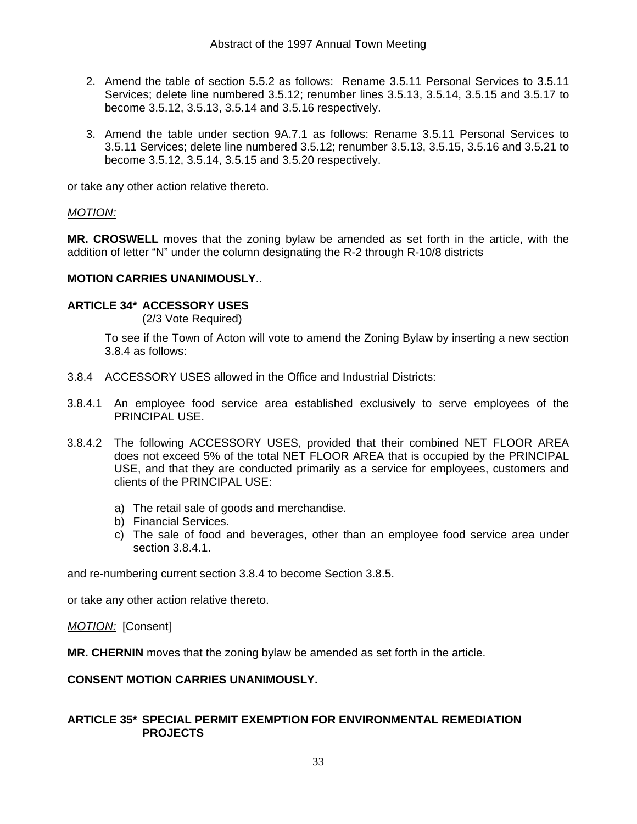- 2. Amend the table of section 5.5.2 as follows: Rename 3.5.11 Personal Services to 3.5.11 Services; delete line numbered 3.5.12; renumber lines 3.5.13, 3.5.14, 3.5.15 and 3.5.17 to become 3.5.12, 3.5.13, 3.5.14 and 3.5.16 respectively.
- 3. Amend the table under section 9A.7.1 as follows: Rename 3.5.11 Personal Services to 3.5.11 Services; delete line numbered 3.5.12; renumber 3.5.13, 3.5.15, 3.5.16 and 3.5.21 to become 3.5.12, 3.5.14, 3.5.15 and 3.5.20 respectively.

or take any other action relative thereto.

### *MOTION:*

**MR. CROSWELL** moves that the zoning bylaw be amended as set forth in the article, with the addition of letter "N" under the column designating the R-2 through R-10/8 districts

### **MOTION CARRIES UNANIMOUSLY**..

### **ARTICLE 34\* ACCESSORY USES**

(2/3 Vote Required)

 To see if the Town of Acton will vote to amend the Zoning Bylaw by inserting a new section 3.8.4 as follows:

- 3.8.4 ACCESSORY USES allowed in the Office and Industrial Districts:
- 3.8.4.1 An employee food service area established exclusively to serve employees of the PRINCIPAL USE.
- 3.8.4.2 The following ACCESSORY USES, provided that their combined NET FLOOR AREA does not exceed 5% of the total NET FLOOR AREA that is occupied by the PRINCIPAL USE, and that they are conducted primarily as a service for employees, customers and clients of the PRINCIPAL USE:
	- a) The retail sale of goods and merchandise.
	- b) Financial Services.
	- c) The sale of food and beverages, other than an employee food service area under section 3.8.4.1.

and re-numbering current section 3.8.4 to become Section 3.8.5.

or take any other action relative thereto.

*MOTION:* [Consent]

**MR. CHERNIN** moves that the zoning bylaw be amended as set forth in the article.

### **CONSENT MOTION CARRIES UNANIMOUSLY.**

### **ARTICLE 35\* SPECIAL PERMIT EXEMPTION FOR ENVIRONMENTAL REMEDIATION PROJECTS**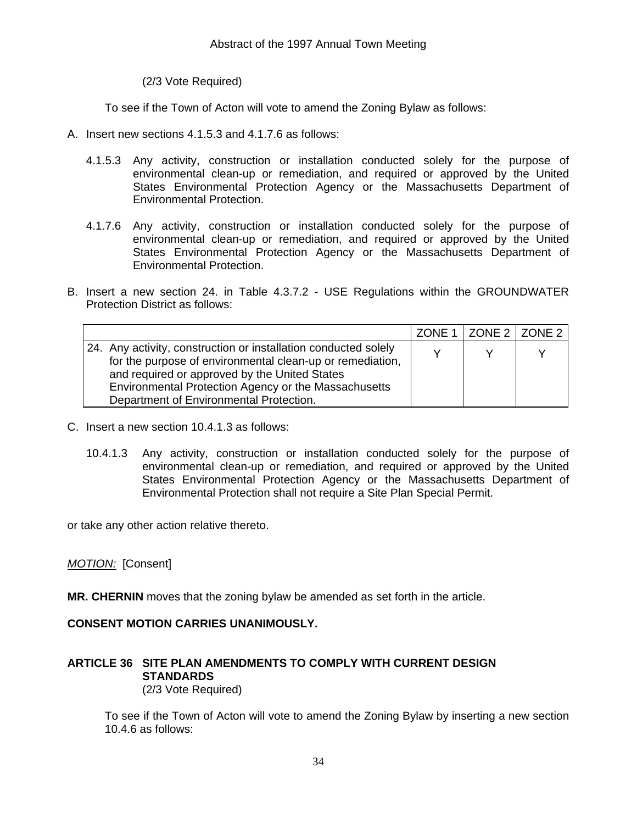(2/3 Vote Required)

To see if the Town of Acton will vote to amend the Zoning Bylaw as follows:

- A. Insert new sections 4.1.5.3 and 4.1.7.6 as follows:
	- 4.1.5.3 Any activity, construction or installation conducted solely for the purpose of environmental clean-up or remediation, and required or approved by the United States Environmental Protection Agency or the Massachusetts Department of Environmental Protection.
	- 4.1.7.6 Any activity, construction or installation conducted solely for the purpose of environmental clean-up or remediation, and required or approved by the United States Environmental Protection Agency or the Massachusetts Department of Environmental Protection.
- B. Insert a new section 24. in Table 4.3.7.2 USE Regulations within the GROUNDWATER Protection District as follows:

|                                                                                                                                                                                                                                                                                  | ZONE 1   ZONE 2   ZONE 2 |  |
|----------------------------------------------------------------------------------------------------------------------------------------------------------------------------------------------------------------------------------------------------------------------------------|--------------------------|--|
| 24. Any activity, construction or installation conducted solely<br>for the purpose of environmental clean-up or remediation,<br>and required or approved by the United States<br>Environmental Protection Agency or the Massachusetts<br>Department of Environmental Protection. |                          |  |

- C. Insert a new section 10.4.1.3 as follows:
	- 10.4.1.3 Any activity, construction or installation conducted solely for the purpose of environmental clean-up or remediation, and required or approved by the United States Environmental Protection Agency or the Massachusetts Department of Environmental Protection shall not require a Site Plan Special Permit.

or take any other action relative thereto.

### *MOTION:* [Consent]

**MR. CHERNIN** moves that the zoning bylaw be amended as set forth in the article.

### **CONSENT MOTION CARRIES UNANIMOUSLY.**

### **ARTICLE 36 SITE PLAN AMENDMENTS TO COMPLY WITH CURRENT DESIGN STANDARDS**  (2/3 Vote Required)

 To see if the Town of Acton will vote to amend the Zoning Bylaw by inserting a new section 10.4.6 as follows: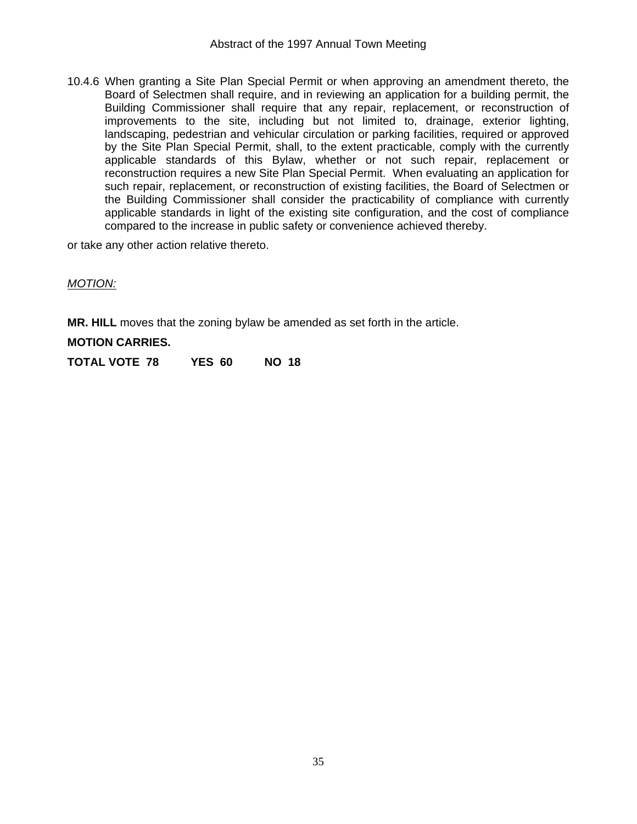10.4.6 When granting a Site Plan Special Permit or when approving an amendment thereto, the Board of Selectmen shall require, and in reviewing an application for a building permit, the Building Commissioner shall require that any repair, replacement, or reconstruction of improvements to the site, including but not limited to, drainage, exterior lighting, landscaping, pedestrian and vehicular circulation or parking facilities, required or approved by the Site Plan Special Permit, shall, to the extent practicable, comply with the currently applicable standards of this Bylaw, whether or not such repair, replacement or reconstruction requires a new Site Plan Special Permit. When evaluating an application for such repair, replacement, or reconstruction of existing facilities, the Board of Selectmen or the Building Commissioner shall consider the practicability of compliance with currently applicable standards in light of the existing site configuration, and the cost of compliance compared to the increase in public safety or convenience achieved thereby.

or take any other action relative thereto.

### *MOTION:*

**MR. HILL** moves that the zoning bylaw be amended as set forth in the article.

### **MOTION CARRIES.**

**TOTAL VOTE 78 YES 60 NO 18**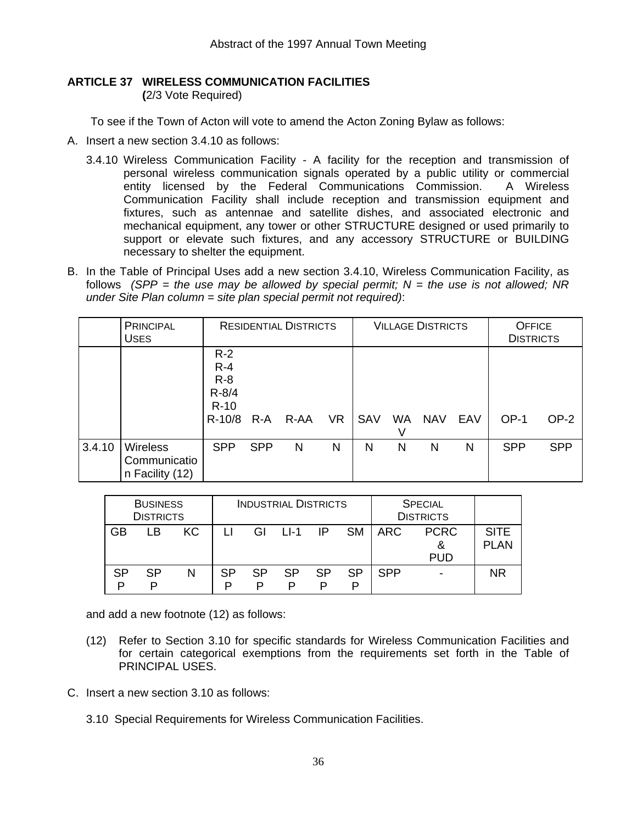### **ARTICLE 37 WIRELESS COMMUNICATION FACILITIES**

 **(**2/3 Vote Required)

To see if the Town of Acton will vote to amend the Acton Zoning Bylaw as follows:

- A. Insert a new section 3.4.10 as follows:
	- 3.4.10 Wireless Communication Facility A facility for the reception and transmission of personal wireless communication signals operated by a public utility or commercial entity licensed by the Federal Communications Commission. A Wireless Communication Facility shall include reception and transmission equipment and fixtures, such as antennae and satellite dishes, and associated electronic and mechanical equipment, any tower or other STRUCTURE designed or used primarily to support or elevate such fixtures, and any accessory STRUCTURE or BUILDING necessary to shelter the equipment.
- B. In the Table of Principal Uses add a new section 3.4.10, Wireless Communication Facility, as follows *(SPP = the use may be allowed by special permit; N = the use is not allowed; NR under Site Plan column = site plan special permit not required)*:

|        | <b>PRINCIPAL</b><br><b>USES</b>                    |                                                              |            | <b>RESIDENTIAL DISTRICTS</b> |           | <b>VILLAGE DISTRICTS</b> |                |            | <b>OFFICE</b><br><b>DISTRICTS</b> |            |            |
|--------|----------------------------------------------------|--------------------------------------------------------------|------------|------------------------------|-----------|--------------------------|----------------|------------|-----------------------------------|------------|------------|
|        |                                                    | $R-2$<br>$R - 4$<br>$R-8$<br>$R - 8/4$<br>$R-10$<br>$R-10/8$ | $R-A$      | R-AA                         | <b>VR</b> | SAV                      | <b>WA</b><br>V | <b>NAV</b> | EAV                               | $OP-1$     | OP-2       |
| 3.4.10 | <b>Wireless</b><br>Communicatio<br>n Facility (12) | <b>SPP</b>                                                   | <b>SPP</b> | N                            | N         | N                        | N              | N          | N                                 | <b>SPP</b> | <b>SPP</b> |

|         | <b>BUSINESS</b><br><b>DISTRICTS</b> |     |         | <b>SPECIAL</b><br><b>INDUSTRIAL DISTRICTS</b><br><b>DISTRICTS</b> |        |    |           |            |                                |                      |
|---------|-------------------------------------|-----|---------|-------------------------------------------------------------------|--------|----|-----------|------------|--------------------------------|----------------------|
| GB      | LВ                                  | KC. |         | GI                                                                | $11-1$ | IP | <b>SM</b> | ARC        | <b>PCRC</b><br>&<br><b>PUD</b> | <b>SITE</b><br>PI AN |
| SP<br>D | SP                                  | N   | SP<br>D | <b>SP</b><br>P                                                    | SP     | SP | SP        | <b>SPP</b> | $\overline{\phantom{a}}$       | <b>NR</b>            |

and add a new footnote (12) as follows:

- (12) Refer to Section 3.10 for specific standards for Wireless Communication Facilities and for certain categorical exemptions from the requirements set forth in the Table of PRINCIPAL USES.
- C. Insert a new section 3.10 as follows:
	- 3.10 Special Requirements for Wireless Communication Facilities.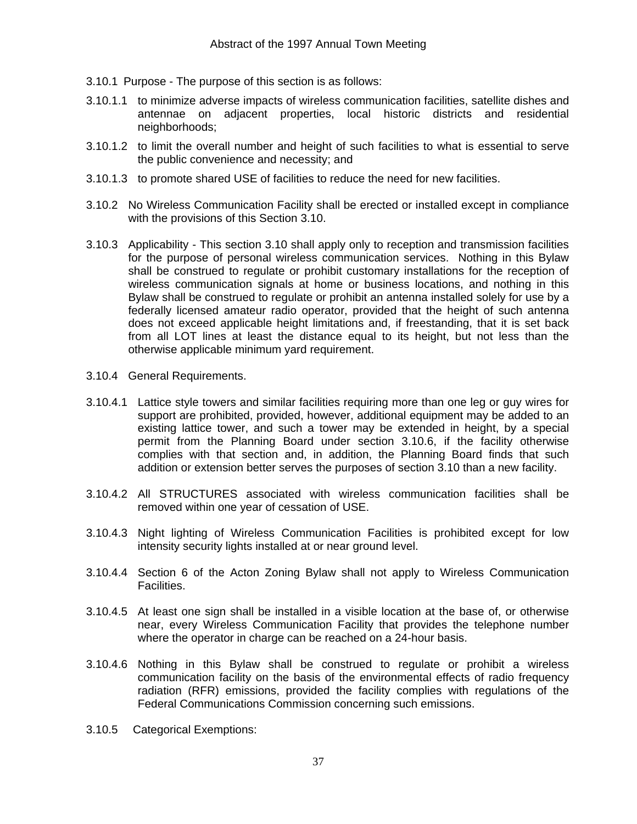- 3.10.1 Purpose The purpose of this section is as follows:
- 3.10.1.1 to minimize adverse impacts of wireless communication facilities, satellite dishes and antennae on adjacent properties, local historic districts and residential neighborhoods;
- 3.10.1.2 to limit the overall number and height of such facilities to what is essential to serve the public convenience and necessity; and
- 3.10.1.3 to promote shared USE of facilities to reduce the need for new facilities.
- 3.10.2 No Wireless Communication Facility shall be erected or installed except in compliance with the provisions of this Section 3.10.
- 3.10.3 Applicability This section 3.10 shall apply only to reception and transmission facilities for the purpose of personal wireless communication services. Nothing in this Bylaw shall be construed to regulate or prohibit customary installations for the reception of wireless communication signals at home or business locations, and nothing in this Bylaw shall be construed to regulate or prohibit an antenna installed solely for use by a federally licensed amateur radio operator, provided that the height of such antenna does not exceed applicable height limitations and, if freestanding, that it is set back from all LOT lines at least the distance equal to its height, but not less than the otherwise applicable minimum yard requirement.
- 3.10.4 General Requirements.
- 3.10.4.1 Lattice style towers and similar facilities requiring more than one leg or guy wires for support are prohibited, provided, however, additional equipment may be added to an existing lattice tower, and such a tower may be extended in height, by a special permit from the Planning Board under section 3.10.6, if the facility otherwise complies with that section and, in addition, the Planning Board finds that such addition or extension better serves the purposes of section 3.10 than a new facility.
- 3.10.4.2 All STRUCTURES associated with wireless communication facilities shall be removed within one year of cessation of USE.
- 3.10.4.3 Night lighting of Wireless Communication Facilities is prohibited except for low intensity security lights installed at or near ground level.
- 3.10.4.4 Section 6 of the Acton Zoning Bylaw shall not apply to Wireless Communication Facilities.
- 3.10.4.5 At least one sign shall be installed in a visible location at the base of, or otherwise near, every Wireless Communication Facility that provides the telephone number where the operator in charge can be reached on a 24-hour basis.
- 3.10.4.6 Nothing in this Bylaw shall be construed to regulate or prohibit a wireless communication facility on the basis of the environmental effects of radio frequency radiation (RFR) emissions, provided the facility complies with regulations of the Federal Communications Commission concerning such emissions.
- 3.10.5 Categorical Exemptions: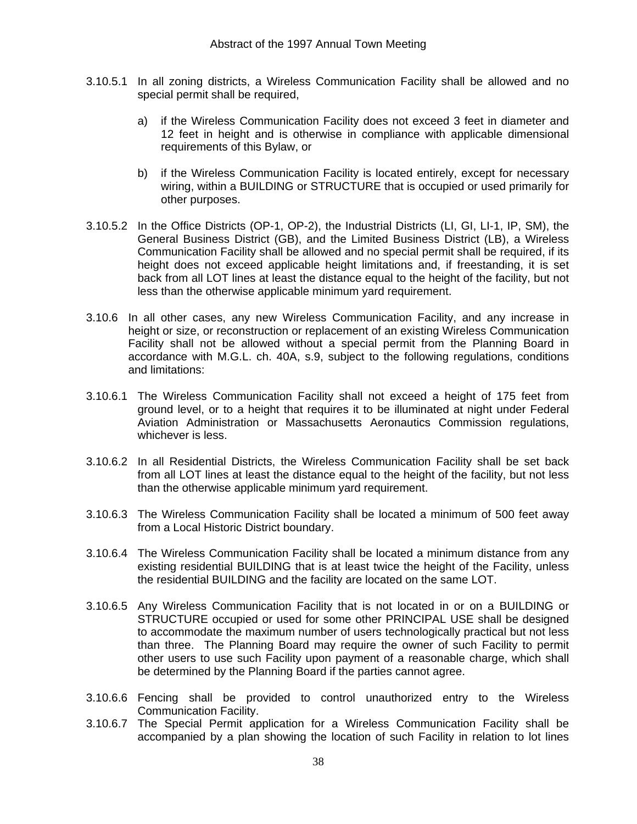- 3.10.5.1 In all zoning districts, a Wireless Communication Facility shall be allowed and no special permit shall be required,
	- a) if the Wireless Communication Facility does not exceed 3 feet in diameter and 12 feet in height and is otherwise in compliance with applicable dimensional requirements of this Bylaw, or
	- b) if the Wireless Communication Facility is located entirely, except for necessary wiring, within a BUILDING or STRUCTURE that is occupied or used primarily for other purposes.
- 3.10.5.2 In the Office Districts (OP-1, OP-2), the Industrial Districts (LI, GI, LI-1, IP, SM), the General Business District (GB), and the Limited Business District (LB), a Wireless Communication Facility shall be allowed and no special permit shall be required, if its height does not exceed applicable height limitations and, if freestanding, it is set back from all LOT lines at least the distance equal to the height of the facility, but not less than the otherwise applicable minimum yard requirement.
- 3.10.6 In all other cases, any new Wireless Communication Facility, and any increase in height or size, or reconstruction or replacement of an existing Wireless Communication Facility shall not be allowed without a special permit from the Planning Board in accordance with M.G.L. ch. 40A, s.9, subject to the following regulations, conditions and limitations:
- 3.10.6.1 The Wireless Communication Facility shall not exceed a height of 175 feet from ground level, or to a height that requires it to be illuminated at night under Federal Aviation Administration or Massachusetts Aeronautics Commission regulations, whichever is less.
- 3.10.6.2 In all Residential Districts, the Wireless Communication Facility shall be set back from all LOT lines at least the distance equal to the height of the facility, but not less than the otherwise applicable minimum yard requirement.
- 3.10.6.3 The Wireless Communication Facility shall be located a minimum of 500 feet away from a Local Historic District boundary.
- 3.10.6.4 The Wireless Communication Facility shall be located a minimum distance from any existing residential BUILDING that is at least twice the height of the Facility, unless the residential BUILDING and the facility are located on the same LOT.
- 3.10.6.5 Any Wireless Communication Facility that is not located in or on a BUILDING or STRUCTURE occupied or used for some other PRINCIPAL USE shall be designed to accommodate the maximum number of users technologically practical but not less than three. The Planning Board may require the owner of such Facility to permit other users to use such Facility upon payment of a reasonable charge, which shall be determined by the Planning Board if the parties cannot agree.
- 3.10.6.6 Fencing shall be provided to control unauthorized entry to the Wireless Communication Facility.
- 3.10.6.7 The Special Permit application for a Wireless Communication Facility shall be accompanied by a plan showing the location of such Facility in relation to lot lines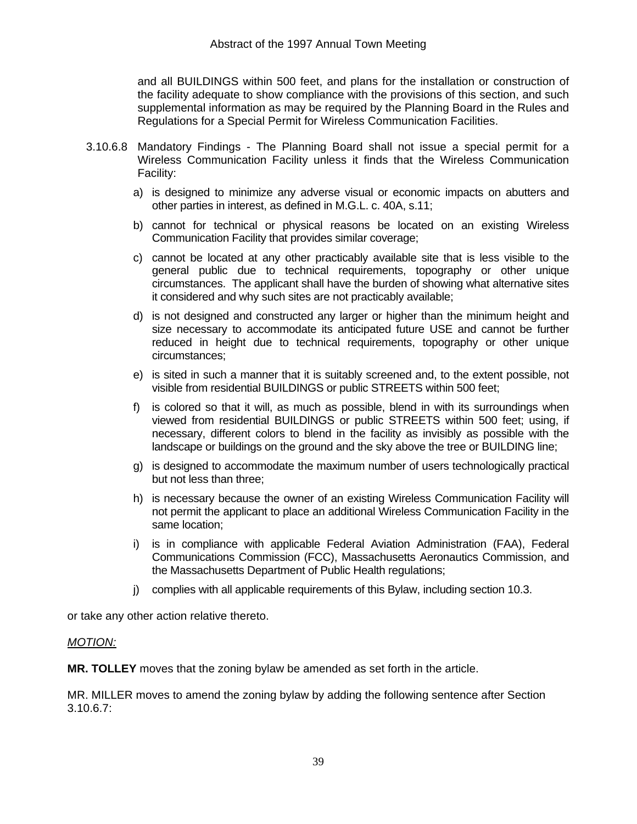and all BUILDINGS within 500 feet, and plans for the installation or construction of the facility adequate to show compliance with the provisions of this section, and such supplemental information as may be required by the Planning Board in the Rules and Regulations for a Special Permit for Wireless Communication Facilities.

- 3.10.6.8 Mandatory Findings The Planning Board shall not issue a special permit for a Wireless Communication Facility unless it finds that the Wireless Communication Facility:
	- a) is designed to minimize any adverse visual or economic impacts on abutters and other parties in interest, as defined in M.G.L. c. 40A, s.11;
	- b) cannot for technical or physical reasons be located on an existing Wireless Communication Facility that provides similar coverage;
	- c) cannot be located at any other practicably available site that is less visible to the general public due to technical requirements, topography or other unique circumstances. The applicant shall have the burden of showing what alternative sites it considered and why such sites are not practicably available;
	- d) is not designed and constructed any larger or higher than the minimum height and size necessary to accommodate its anticipated future USE and cannot be further reduced in height due to technical requirements, topography or other unique circumstances;
	- e) is sited in such a manner that it is suitably screened and, to the extent possible, not visible from residential BUILDINGS or public STREETS within 500 feet;
	- f) is colored so that it will, as much as possible, blend in with its surroundings when viewed from residential BUILDINGS or public STREETS within 500 feet; using, if necessary, different colors to blend in the facility as invisibly as possible with the landscape or buildings on the ground and the sky above the tree or BUILDING line;
	- g) is designed to accommodate the maximum number of users technologically practical but not less than three;
	- h) is necessary because the owner of an existing Wireless Communication Facility will not permit the applicant to place an additional Wireless Communication Facility in the same location;
	- i) is in compliance with applicable Federal Aviation Administration (FAA), Federal Communications Commission (FCC), Massachusetts Aeronautics Commission, and the Massachusetts Department of Public Health regulations;
	- j) complies with all applicable requirements of this Bylaw, including section 10.3.

or take any other action relative thereto.

### *MOTION:*

**MR. TOLLEY** moves that the zoning bylaw be amended as set forth in the article.

MR. MILLER moves to amend the zoning bylaw by adding the following sentence after Section 3.10.6.7: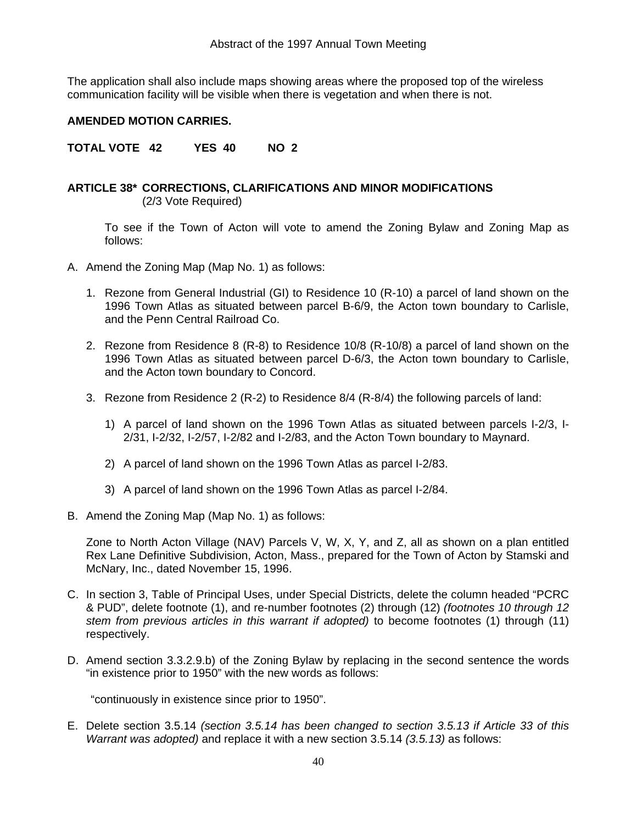The application shall also include maps showing areas where the proposed top of the wireless communication facility will be visible when there is vegetation and when there is not.

### **AMENDED MOTION CARRIES.**

**TOTAL VOTE 42 YES 40 NO 2** 

### **ARTICLE 38\* CORRECTIONS, CLARIFICATIONS AND MINOR MODIFICATIONS**  (2/3 Vote Required)

 To see if the Town of Acton will vote to amend the Zoning Bylaw and Zoning Map as follows:

- A. Amend the Zoning Map (Map No. 1) as follows:
	- 1. Rezone from General Industrial (GI) to Residence 10 (R-10) a parcel of land shown on the 1996 Town Atlas as situated between parcel B-6/9, the Acton town boundary to Carlisle, and the Penn Central Railroad Co.
	- 2. Rezone from Residence 8 (R-8) to Residence 10/8 (R-10/8) a parcel of land shown on the 1996 Town Atlas as situated between parcel D-6/3, the Acton town boundary to Carlisle, and the Acton town boundary to Concord.
	- 3. Rezone from Residence 2 (R-2) to Residence 8/4 (R-8/4) the following parcels of land:
		- 1) A parcel of land shown on the 1996 Town Atlas as situated between parcels I-2/3, I-2/31, I-2/32, I-2/57, I-2/82 and I-2/83, and the Acton Town boundary to Maynard.
		- 2) A parcel of land shown on the 1996 Town Atlas as parcel I-2/83.
		- 3) A parcel of land shown on the 1996 Town Atlas as parcel I-2/84.
- B. Amend the Zoning Map (Map No. 1) as follows:

 Zone to North Acton Village (NAV) Parcels V, W, X, Y, and Z, all as shown on a plan entitled Rex Lane Definitive Subdivision, Acton, Mass., prepared for the Town of Acton by Stamski and McNary, Inc., dated November 15, 1996.

- C. In section 3, Table of Principal Uses, under Special Districts, delete the column headed "PCRC & PUD", delete footnote (1), and re-number footnotes (2) through (12) *(footnotes 10 through 12 stem from previous articles in this warrant if adopted)* to become footnotes (1) through (11) respectively.
- D. Amend section 3.3.2.9.b) of the Zoning Bylaw by replacing in the second sentence the words "in existence prior to 1950" with the new words as follows:

"continuously in existence since prior to 1950".

E. Delete section 3.5.14 *(section 3.5.14 has been changed to section 3.5.13 if Article 33 of this Warrant was adopted)* and replace it with a new section 3.5.14 *(3.5.13)* as follows: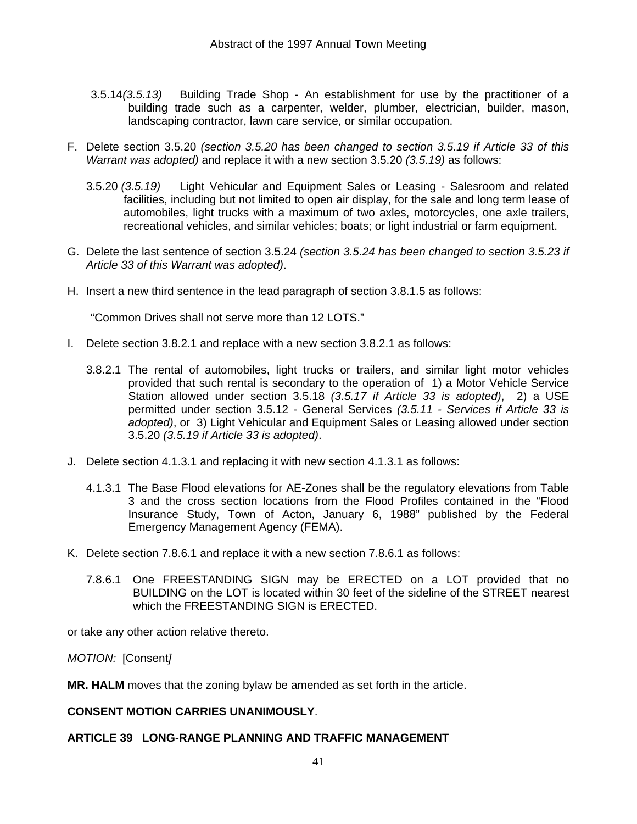- 3.5.14*(3.5.13)* Building Trade Shop An establishment for use by the practitioner of a building trade such as a carpenter, welder, plumber, electrician, builder, mason, landscaping contractor, lawn care service, or similar occupation.
- F. Delete section 3.5.20 *(section 3.5.20 has been changed to section 3.5.19 if Article 33 of this Warrant was adopted)* and replace it with a new section 3.5.20 *(3.5.19)* as follows:
	- 3.5.20 *(3.5.19)* Light Vehicular and Equipment Sales or Leasing Salesroom and related facilities, including but not limited to open air display, for the sale and long term lease of automobiles, light trucks with a maximum of two axles, motorcycles, one axle trailers, recreational vehicles, and similar vehicles; boats; or light industrial or farm equipment.
- G. Delete the last sentence of section 3.5.24 *(section 3.5.24 has been changed to section 3.5.23 if Article 33 of this Warrant was adopted)*.
- H. Insert a new third sentence in the lead paragraph of section 3.8.1.5 as follows:

"Common Drives shall not serve more than 12 LOTS."

- I. Delete section 3.8.2.1 and replace with a new section 3.8.2.1 as follows:
	- 3.8.2.1 The rental of automobiles, light trucks or trailers, and similar light motor vehicles provided that such rental is secondary to the operation of 1) a Motor Vehicle Service Station allowed under section 3.5.18 *(3.5.17 if Article 33 is adopted)*, 2) a USE permitted under section 3.5.12 - General Services *(3.5.11 - Services if Article 33 is adopted)*, or 3) Light Vehicular and Equipment Sales or Leasing allowed under section 3.5.20 *(3.5.19 if Article 33 is adopted)*.
- J. Delete section 4.1.3.1 and replacing it with new section 4.1.3.1 as follows:
	- 4.1.3.1 The Base Flood elevations for AE-Zones shall be the regulatory elevations from Table 3 and the cross section locations from the Flood Profiles contained in the "Flood Insurance Study, Town of Acton, January 6, 1988" published by the Federal Emergency Management Agency (FEMA).
- K. Delete section 7.8.6.1 and replace it with a new section 7.8.6.1 as follows:
	- 7.8.6.1 One FREESTANDING SIGN may be ERECTED on a LOT provided that no BUILDING on the LOT is located within 30 feet of the sideline of the STREET nearest which the FREESTANDING SIGN is ERECTED.

or take any other action relative thereto.

*MOTION:* [Consent*]*

**MR. HALM** moves that the zoning bylaw be amended as set forth in the article.

### **CONSENT MOTION CARRIES UNANIMOUSLY**.

### **ARTICLE 39 LONG-RANGE PLANNING AND TRAFFIC MANAGEMENT**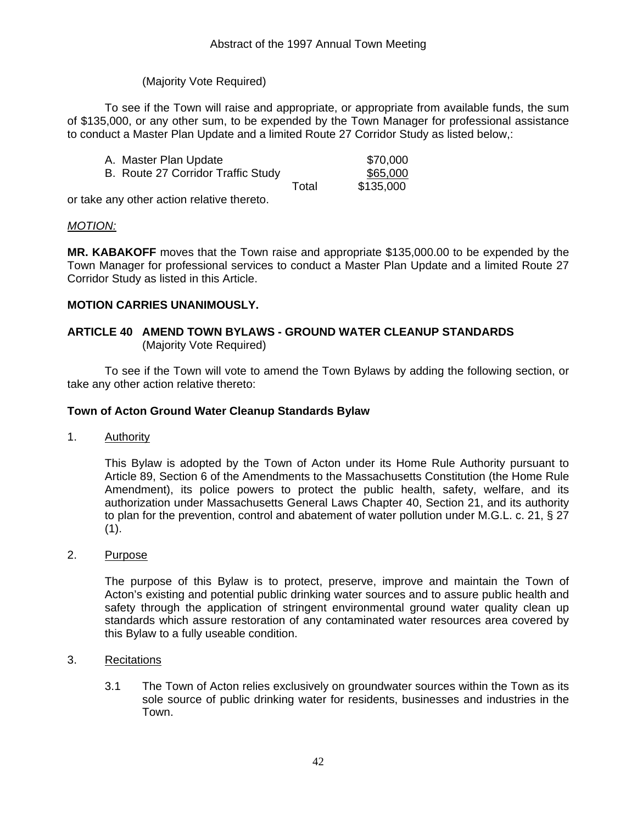### (Majority Vote Required)

 To see if the Town will raise and appropriate, or appropriate from available funds, the sum of \$135,000, or any other sum, to be expended by the Town Manager for professional assistance to conduct a Master Plan Update and a limited Route 27 Corridor Study as listed below,:

| A. Master Plan Update              |       | \$70,000  |
|------------------------------------|-------|-----------|
| B. Route 27 Corridor Traffic Study |       | \$65,000  |
|                                    | Total | \$135,000 |

or take any other action relative thereto.

### *MOTION:*

**MR. KABAKOFF** moves that the Town raise and appropriate \$135,000.00 to be expended by the Town Manager for professional services to conduct a Master Plan Update and a limited Route 27 Corridor Study as listed in this Article.

### **MOTION CARRIES UNANIMOUSLY.**

### **ARTICLE 40 AMEND TOWN BYLAWS - GROUND WATER CLEANUP STANDARDS** (Majority Vote Required)

 To see if the Town will vote to amend the Town Bylaws by adding the following section, or take any other action relative thereto:

### **Town of Acton Ground Water Cleanup Standards Bylaw**

1. Authority

This Bylaw is adopted by the Town of Acton under its Home Rule Authority pursuant to Article 89, Section 6 of the Amendments to the Massachusetts Constitution (the Home Rule Amendment), its police powers to protect the public health, safety, welfare, and its authorization under Massachusetts General Laws Chapter 40, Section 21, and its authority to plan for the prevention, control and abatement of water pollution under M.G.L. c. 21, § 27  $(1)$ .

2. Purpose

The purpose of this Bylaw is to protect, preserve, improve and maintain the Town of Acton's existing and potential public drinking water sources and to assure public health and safety through the application of stringent environmental ground water quality clean up standards which assure restoration of any contaminated water resources area covered by this Bylaw to a fully useable condition.

- 3. Recitations
	- 3.1 The Town of Acton relies exclusively on groundwater sources within the Town as its sole source of public drinking water for residents, businesses and industries in the Town.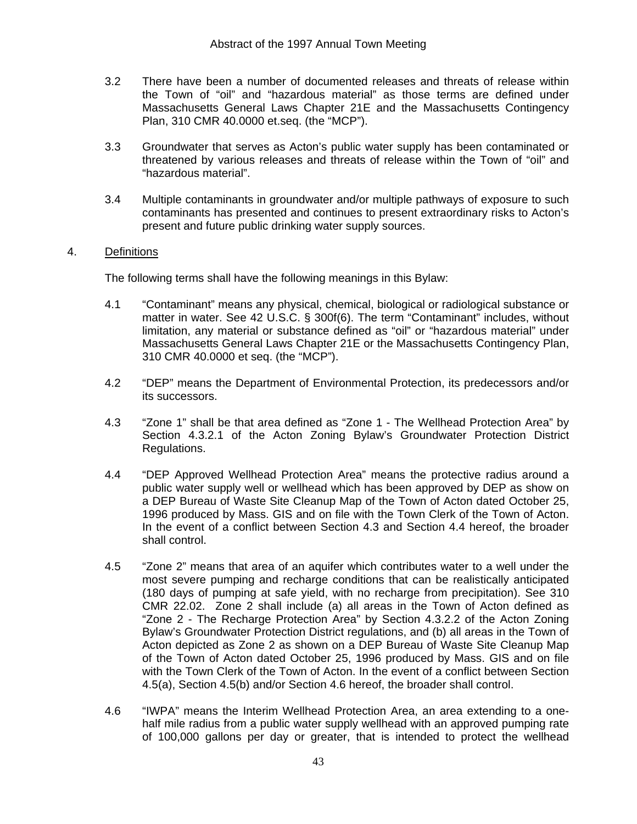- 3.2 There have been a number of documented releases and threats of release within the Town of "oil" and "hazardous material" as those terms are defined under Massachusetts General Laws Chapter 21E and the Massachusetts Contingency Plan, 310 CMR 40.0000 et.seq. (the "MCP").
- 3.3 Groundwater that serves as Acton's public water supply has been contaminated or threatened by various releases and threats of release within the Town of "oil" and "hazardous material".
- 3.4 Multiple contaminants in groundwater and/or multiple pathways of exposure to such contaminants has presented and continues to present extraordinary risks to Acton's present and future public drinking water supply sources.

### 4. Definitions

The following terms shall have the following meanings in this Bylaw:

- 4.1 "Contaminant" means any physical, chemical, biological or radiological substance or matter in water. See 42 U.S.C. § 300f(6). The term "Contaminant" includes, without limitation, any material or substance defined as "oil" or "hazardous material" under Massachusetts General Laws Chapter 21E or the Massachusetts Contingency Plan, 310 CMR 40.0000 et seq. (the "MCP").
- 4.2 "DEP" means the Department of Environmental Protection, its predecessors and/or its successors.
- 4.3 "Zone 1" shall be that area defined as "Zone 1 The Wellhead Protection Area" by Section 4.3.2.1 of the Acton Zoning Bylaw's Groundwater Protection District Regulations.
- 4.4 "DEP Approved Wellhead Protection Area" means the protective radius around a public water supply well or wellhead which has been approved by DEP as show on a DEP Bureau of Waste Site Cleanup Map of the Town of Acton dated October 25, 1996 produced by Mass. GIS and on file with the Town Clerk of the Town of Acton. In the event of a conflict between Section 4.3 and Section 4.4 hereof, the broader shall control.
- 4.5 "Zone 2" means that area of an aquifer which contributes water to a well under the most severe pumping and recharge conditions that can be realistically anticipated (180 days of pumping at safe yield, with no recharge from precipitation). See 310 CMR 22.02. Zone 2 shall include (a) all areas in the Town of Acton defined as "Zone 2 - The Recharge Protection Area" by Section 4.3.2.2 of the Acton Zoning Bylaw's Groundwater Protection District regulations, and (b) all areas in the Town of Acton depicted as Zone 2 as shown on a DEP Bureau of Waste Site Cleanup Map of the Town of Acton dated October 25, 1996 produced by Mass. GIS and on file with the Town Clerk of the Town of Acton. In the event of a conflict between Section 4.5(a), Section 4.5(b) and/or Section 4.6 hereof, the broader shall control.
- 4.6 "IWPA" means the Interim Wellhead Protection Area, an area extending to a onehalf mile radius from a public water supply wellhead with an approved pumping rate of 100,000 gallons per day or greater, that is intended to protect the wellhead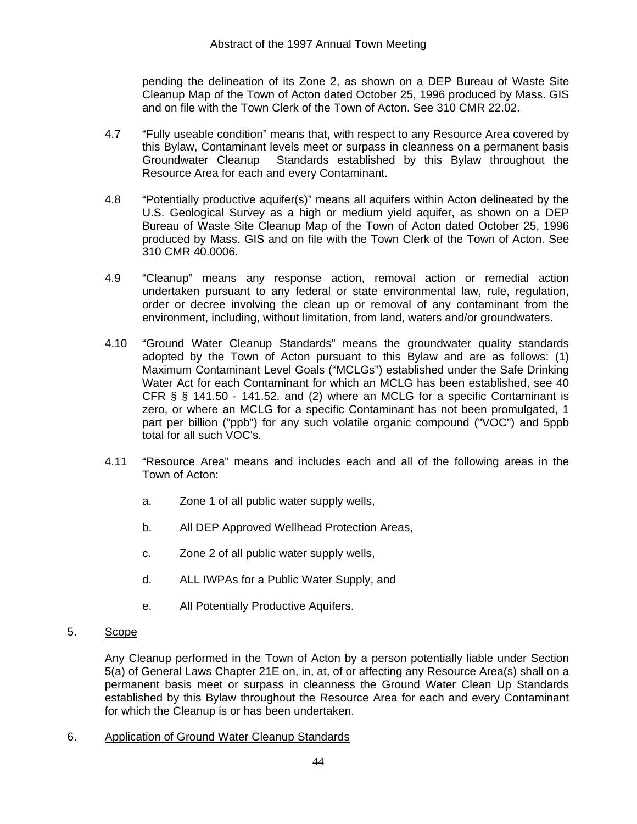pending the delineation of its Zone 2, as shown on a DEP Bureau of Waste Site Cleanup Map of the Town of Acton dated October 25, 1996 produced by Mass. GIS and on file with the Town Clerk of the Town of Acton. See 310 CMR 22.02.

- 4.7 "Fully useable condition" means that, with respect to any Resource Area covered by this Bylaw, Contaminant levels meet or surpass in cleanness on a permanent basis Groundwater Cleanup Standards established by this Bylaw throughout the Resource Area for each and every Contaminant.
- 4.8 "Potentially productive aquifer(s)" means all aquifers within Acton delineated by the U.S. Geological Survey as a high or medium yield aquifer, as shown on a DEP Bureau of Waste Site Cleanup Map of the Town of Acton dated October 25, 1996 produced by Mass. GIS and on file with the Town Clerk of the Town of Acton. See 310 CMR 40.0006.
- 4.9 "Cleanup" means any response action, removal action or remedial action undertaken pursuant to any federal or state environmental law, rule, regulation, order or decree involving the clean up or removal of any contaminant from the environment, including, without limitation, from land, waters and/or groundwaters.
- 4.10 "Ground Water Cleanup Standards" means the groundwater quality standards adopted by the Town of Acton pursuant to this Bylaw and are as follows: (1) Maximum Contaminant Level Goals ("MCLGs") established under the Safe Drinking Water Act for each Contaminant for which an MCLG has been established, see 40 CFR § § 141.50 - 141.52. and (2) where an MCLG for a specific Contaminant is zero, or where an MCLG for a specific Contaminant has not been promulgated, 1 part per billion ("ppb") for any such volatile organic compound ("VOC") and 5ppb total for all such VOC's.
- 4.11 "Resource Area" means and includes each and all of the following areas in the Town of Acton:
	- a. Zone 1 of all public water supply wells,
	- b. All DEP Approved Wellhead Protection Areas,
	- c. Zone 2 of all public water supply wells,
	- d. ALL IWPAs for a Public Water Supply, and
	- e. All Potentially Productive Aquifers.
- 5. Scope

Any Cleanup performed in the Town of Acton by a person potentially liable under Section 5(a) of General Laws Chapter 21E on, in, at, of or affecting any Resource Area(s) shall on a permanent basis meet or surpass in cleanness the Ground Water Clean Up Standards established by this Bylaw throughout the Resource Area for each and every Contaminant for which the Cleanup is or has been undertaken.

6. Application of Ground Water Cleanup Standards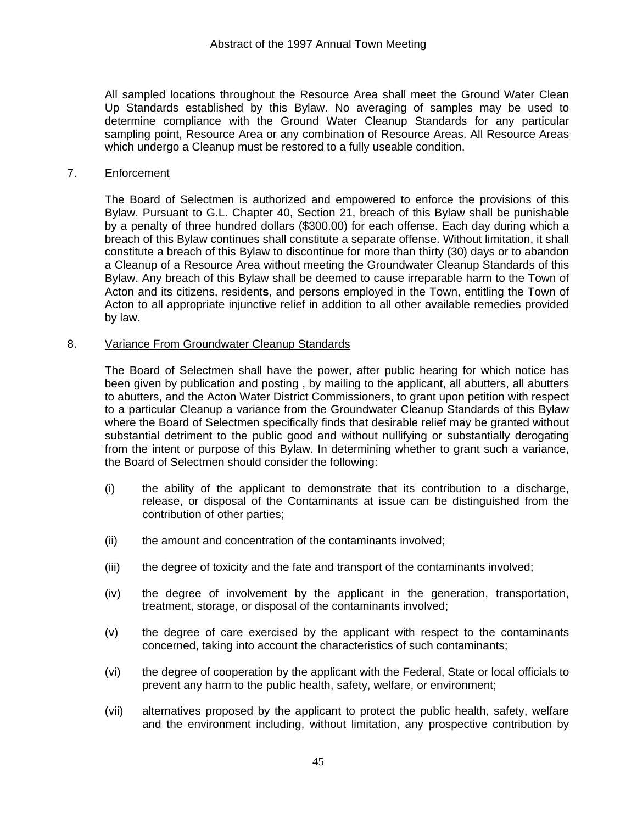All sampled locations throughout the Resource Area shall meet the Ground Water Clean Up Standards established by this Bylaw. No averaging of samples may be used to determine compliance with the Ground Water Cleanup Standards for any particular sampling point, Resource Area or any combination of Resource Areas. All Resource Areas which undergo a Cleanup must be restored to a fully useable condition.

### 7. Enforcement

The Board of Selectmen is authorized and empowered to enforce the provisions of this Bylaw. Pursuant to G.L. Chapter 40, Section 21, breach of this Bylaw shall be punishable by a penalty of three hundred dollars (\$300.00) for each offense. Each day during which a breach of this Bylaw continues shall constitute a separate offense. Without limitation, it shall constitute a breach of this Bylaw to discontinue for more than thirty (30) days or to abandon a Cleanup of a Resource Area without meeting the Groundwater Cleanup Standards of this Bylaw. Any breach of this Bylaw shall be deemed to cause irreparable harm to the Town of Acton and its citizens, resident**s**, and persons employed in the Town, entitling the Town of Acton to all appropriate injunctive relief in addition to all other available remedies provided by law.

#### 8. Variance From Groundwater Cleanup Standards

The Board of Selectmen shall have the power, after public hearing for which notice has been given by publication and posting , by mailing to the applicant, all abutters, all abutters to abutters, and the Acton Water District Commissioners, to grant upon petition with respect to a particular Cleanup a variance from the Groundwater Cleanup Standards of this Bylaw where the Board of Selectmen specifically finds that desirable relief may be granted without substantial detriment to the public good and without nullifying or substantially derogating from the intent or purpose of this Bylaw. In determining whether to grant such a variance, the Board of Selectmen should consider the following:

- (i) the ability of the applicant to demonstrate that its contribution to a discharge, release, or disposal of the Contaminants at issue can be distinguished from the contribution of other parties;
- (ii) the amount and concentration of the contaminants involved;
- (iii) the degree of toxicity and the fate and transport of the contaminants involved;
- (iv) the degree of involvement by the applicant in the generation, transportation, treatment, storage, or disposal of the contaminants involved;
- (v) the degree of care exercised by the applicant with respect to the contaminants concerned, taking into account the characteristics of such contaminants;
- (vi) the degree of cooperation by the applicant with the Federal, State or local officials to prevent any harm to the public health, safety, welfare, or environment;
- (vii) alternatives proposed by the applicant to protect the public health, safety, welfare and the environment including, without limitation, any prospective contribution by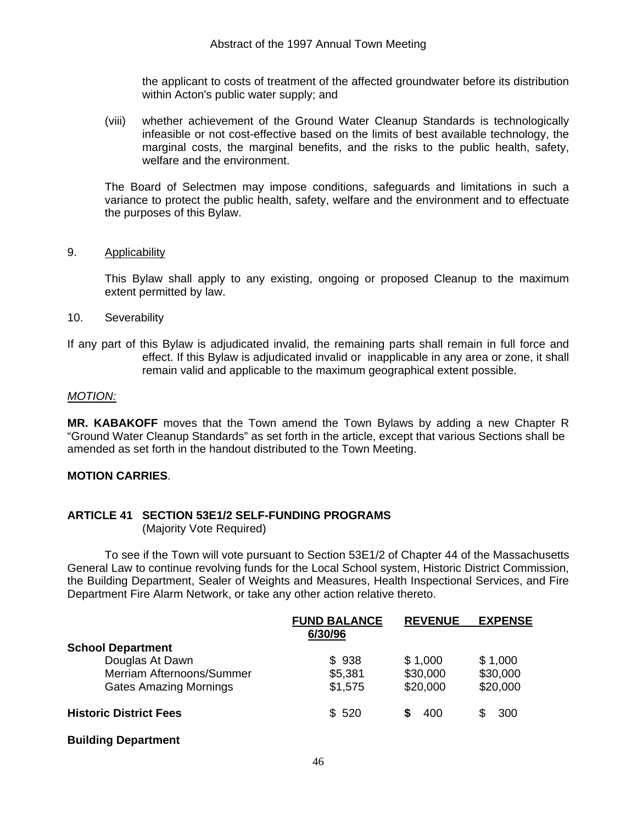the applicant to costs of treatment of the affected groundwater before its distribution within Acton's public water supply; and

(viii) whether achievement of the Ground Water Cleanup Standards is technologically infeasible or not cost-effective based on the limits of best available technology, the marginal costs, the marginal benefits, and the risks to the public health, safety, welfare and the environment.

The Board of Selectmen may impose conditions, safeguards and limitations in such a variance to protect the public health, safety, welfare and the environment and to effectuate the purposes of this Bylaw.

### 9. Applicability

This Bylaw shall apply to any existing, ongoing or proposed Cleanup to the maximum extent permitted by law.

- 10. Severability
- If any part of this Bylaw is adjudicated invalid, the remaining parts shall remain in full force and effect. If this Bylaw is adjudicated invalid or inapplicable in any area or zone, it shall remain valid and applicable to the maximum geographical extent possible.

#### *MOTION:*

**MR. KABAKOFF** moves that the Town amend the Town Bylaws by adding a new Chapter R "Ground Water Cleanup Standards" as set forth in the article, except that various Sections shall be amended as set forth in the handout distributed to the Town Meeting.

### **MOTION CARRIES**.

### **ARTICLE 41 SECTION 53E1/2 SELF-FUNDING PROGRAMS**

(Majority Vote Required)

 To see if the Town will vote pursuant to Section 53E1/2 of Chapter 44 of the Massachusetts General Law to continue revolving funds for the Local School system, Historic District Commission, the Building Department, Sealer of Weights and Measures, Health Inspectional Services, and Fire Department Fire Alarm Network, or take any other action relative thereto.

|                               | <b>FUND BALANCE</b> | <b>REVENUE</b> | <b>EXPENSE</b> |
|-------------------------------|---------------------|----------------|----------------|
|                               | 6/30/96             |                |                |
| <b>School Department</b>      |                     |                |                |
| Douglas At Dawn               | \$938               | \$1,000        | \$1,000        |
| Merriam Afternoons/Summer     | \$5,381             | \$30,000       | \$30,000       |
| <b>Gates Amazing Mornings</b> | \$1,575             | \$20,000       | \$20,000       |
| <b>Historic District Fees</b> | \$520               | 400            | 300            |
|                               |                     |                |                |

### **Building Department**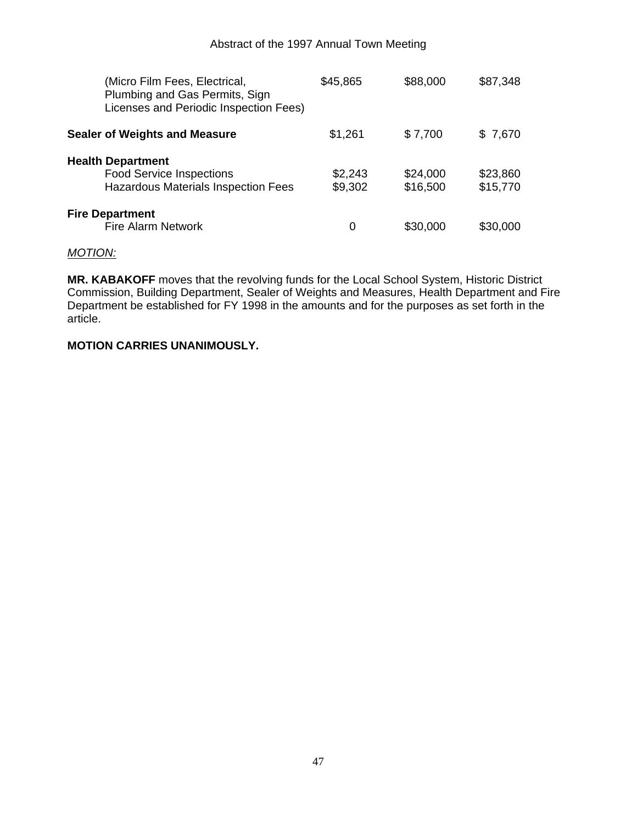| (Micro Film Fees, Electrical,<br>Plumbing and Gas Permits, Sign<br>Licenses and Periodic Inspection Fees) | \$45,865           | \$88,000             | \$87,348             |
|-----------------------------------------------------------------------------------------------------------|--------------------|----------------------|----------------------|
| <b>Sealer of Weights and Measure</b>                                                                      | \$1,261            | \$7,700              | \$7,670              |
| <b>Health Department</b><br><b>Food Service Inspections</b><br><b>Hazardous Materials Inspection Fees</b> | \$2,243<br>\$9,302 | \$24,000<br>\$16,500 | \$23,860<br>\$15,770 |
| <b>Fire Department</b><br><b>Fire Alarm Network</b>                                                       | 0                  | \$30,000             | \$30,000             |

### *MOTION:*

**MR. KABAKOFF** moves that the revolving funds for the Local School System, Historic District Commission, Building Department, Sealer of Weights and Measures, Health Department and Fire Department be established for FY 1998 in the amounts and for the purposes as set forth in the article.

### **MOTION CARRIES UNANIMOUSLY.**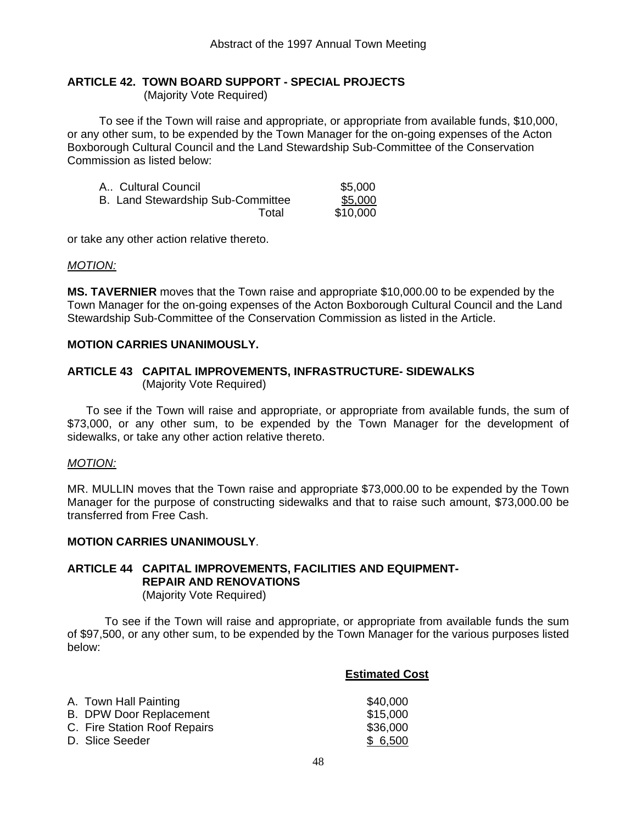### **ARTICLE 42. TOWN BOARD SUPPORT - SPECIAL PROJECTS**

(Majority Vote Required)

 To see if the Town will raise and appropriate, or appropriate from available funds, \$10,000, or any other sum, to be expended by the Town Manager for the on-going expenses of the Acton Boxborough Cultural Council and the Land Stewardship Sub-Committee of the Conservation Commission as listed below:

| A., Cultural Council              | \$5,000  |
|-----------------------------------|----------|
| B. Land Stewardship Sub-Committee | \$5,000  |
| Total                             | \$10,000 |

or take any other action relative thereto.

### *MOTION:*

**MS. TAVERNIER** moves that the Town raise and appropriate \$10,000.00 to be expended by the Town Manager for the on-going expenses of the Acton Boxborough Cultural Council and the Land Stewardship Sub-Committee of the Conservation Commission as listed in the Article.

### **MOTION CARRIES UNANIMOUSLY.**

### **ARTICLE 43 CAPITAL IMPROVEMENTS, INFRASTRUCTURE- SIDEWALKS**  (Majority Vote Required)

 To see if the Town will raise and appropriate, or appropriate from available funds, the sum of \$73,000, or any other sum, to be expended by the Town Manager for the development of sidewalks, or take any other action relative thereto.

### *MOTION:*

MR. MULLIN moves that the Town raise and appropriate \$73,000.00 to be expended by the Town Manager for the purpose of constructing sidewalks and that to raise such amount, \$73,000.00 be transferred from Free Cash.

### **MOTION CARRIES UNANIMOUSLY**.

### **ARTICLE 44 CAPITAL IMPROVEMENTS, FACILITIES AND EQUIPMENT-REPAIR AND RENOVATIONS**  (Majority Vote Required)

 To see if the Town will raise and appropriate, or appropriate from available funds the sum of \$97,500, or any other sum, to be expended by the Town Manager for the various purposes listed below:

### **Estimated Cost**

| A. Town Hall Painting          | \$40,000 |
|--------------------------------|----------|
| <b>B. DPW Door Replacement</b> | \$15,000 |
| C. Fire Station Roof Repairs   | \$36,000 |
| D. Slice Seeder                | \$6,500  |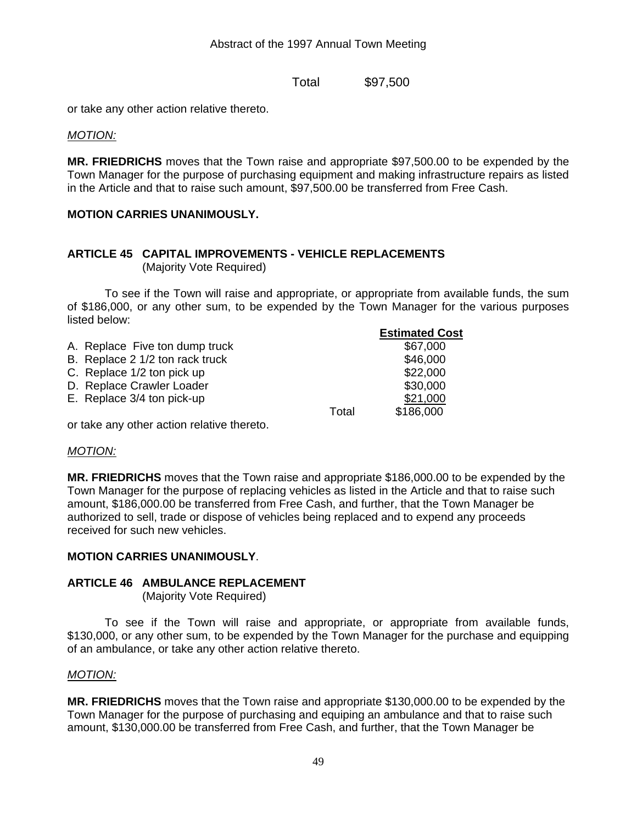Total \$97,500

or take any other action relative thereto.

*MOTION:*

**MR. FRIEDRICHS** moves that the Town raise and appropriate \$97,500.00 to be expended by the Town Manager for the purpose of purchasing equipment and making infrastructure repairs as listed in the Article and that to raise such amount, \$97,500.00 be transferred from Free Cash.

### **MOTION CARRIES UNANIMOUSLY.**

# **ARTICLE 45 CAPITAL IMPROVEMENTS - VEHICLE REPLACEMENTS**

(Majority Vote Required)

 To see if the Town will raise and appropriate, or appropriate from available funds, the sum of \$186,000, or any other sum, to be expended by the Town Manager for the various purposes listed below:

|                                 |       | <b>Estimated Cost</b> |
|---------------------------------|-------|-----------------------|
| A. Replace Five ton dump truck  |       | \$67,000              |
| B. Replace 2 1/2 ton rack truck |       | \$46,000              |
| C. Replace 1/2 ton pick up      |       | \$22,000              |
| D. Replace Crawler Loader       |       | \$30,000              |
| E. Replace 3/4 ton pick-up      |       | \$21,000              |
|                                 | Total | \$186,000             |
|                                 |       |                       |

or take any other action relative thereto.

### *MOTION:*

**MR. FRIEDRICHS** moves that the Town raise and appropriate \$186,000.00 to be expended by the Town Manager for the purpose of replacing vehicles as listed in the Article and that to raise such amount, \$186,000.00 be transferred from Free Cash, and further, that the Town Manager be authorized to sell, trade or dispose of vehicles being replaced and to expend any proceeds received for such new vehicles.

### **MOTION CARRIES UNANIMOUSLY**.

### **ARTICLE 46 AMBULANCE REPLACEMENT**

(Majority Vote Required)

 To see if the Town will raise and appropriate, or appropriate from available funds, \$130,000, or any other sum, to be expended by the Town Manager for the purchase and equipping of an ambulance, or take any other action relative thereto.

### *MOTION:*

**MR. FRIEDRICHS** moves that the Town raise and appropriate \$130,000.00 to be expended by the Town Manager for the purpose of purchasing and equiping an ambulance and that to raise such amount, \$130,000.00 be transferred from Free Cash, and further, that the Town Manager be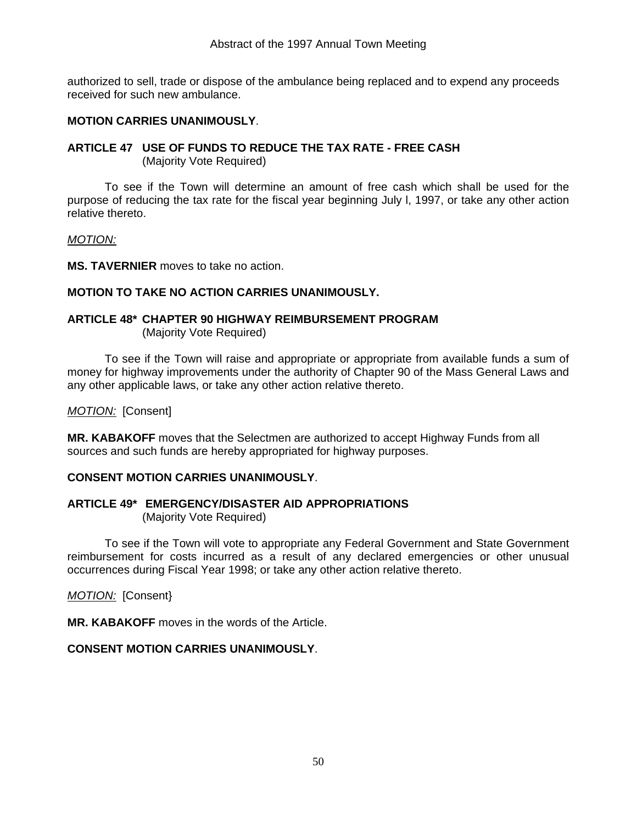authorized to sell, trade or dispose of the ambulance being replaced and to expend any proceeds received for such new ambulance.

### **MOTION CARRIES UNANIMOUSLY**.

### **ARTICLE 47 USE OF FUNDS TO REDUCE THE TAX RATE - FREE CASH**

(Majority Vote Required)

 To see if the Town will determine an amount of free cash which shall be used for the purpose of reducing the tax rate for the fiscal year beginning July l, 1997, or take any other action relative thereto.

### *MOTION:*

**MS. TAVERNIER** moves to take no action.

### **MOTION TO TAKE NO ACTION CARRIES UNANIMOUSLY.**

#### **ARTICLE 48\* CHAPTER 90 HIGHWAY REIMBURSEMENT PROGRAM** (Majority Vote Required)

 To see if the Town will raise and appropriate or appropriate from available funds a sum of money for highway improvements under the authority of Chapter 90 of the Mass General Laws and any other applicable laws, or take any other action relative thereto.

### *MOTION:* [Consent]

**MR. KABAKOFF** moves that the Selectmen are authorized to accept Highway Funds from all sources and such funds are hereby appropriated for highway purposes.

### **CONSENT MOTION CARRIES UNANIMOUSLY**.

### **ARTICLE 49\* EMERGENCY/DISASTER AID APPROPRIATIONS** (Majority Vote Required)

 To see if the Town will vote to appropriate any Federal Government and State Government reimbursement for costs incurred as a result of any declared emergencies or other unusual occurrences during Fiscal Year 1998; or take any other action relative thereto.

### *MOTION:* [Consent}

**MR. KABAKOFF** moves in the words of the Article.

### **CONSENT MOTION CARRIES UNANIMOUSLY**.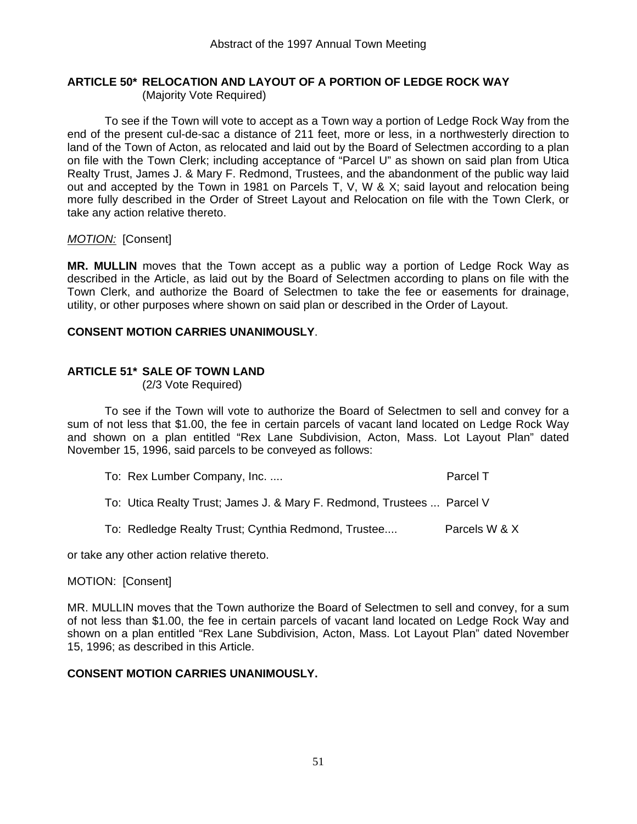# **ARTICLE 50\* RELOCATION AND LAYOUT OF A PORTION OF LEDGE ROCK WAY**

(Majority Vote Required)

 To see if the Town will vote to accept as a Town way a portion of Ledge Rock Way from the end of the present cul-de-sac a distance of 211 feet, more or less, in a northwesterly direction to land of the Town of Acton, as relocated and laid out by the Board of Selectmen according to a plan on file with the Town Clerk; including acceptance of "Parcel U" as shown on said plan from Utica Realty Trust, James J. & Mary F. Redmond, Trustees, and the abandonment of the public way laid out and accepted by the Town in 1981 on Parcels T, V, W & X; said layout and relocation being more fully described in the Order of Street Layout and Relocation on file with the Town Clerk, or take any action relative thereto.

### *MOTION:* [Consent]

**MR. MULLIN** moves that the Town accept as a public way a portion of Ledge Rock Way as described in the Article, as laid out by the Board of Selectmen according to plans on file with the Town Clerk, and authorize the Board of Selectmen to take the fee or easements for drainage, utility, or other purposes where shown on said plan or described in the Order of Layout.

### **CONSENT MOTION CARRIES UNANIMOUSLY**.

### **ARTICLE 51\* SALE OF TOWN LAND**

(2/3 Vote Required)

 To see if the Town will vote to authorize the Board of Selectmen to sell and convey for a sum of not less that \$1.00, the fee in certain parcels of vacant land located on Ledge Rock Way and shown on a plan entitled "Rex Lane Subdivision, Acton, Mass. Lot Layout Plan" dated November 15, 1996, said parcels to be conveyed as follows:

| To: Rex Lumber Company, Inc. | Parcel T |
|------------------------------|----------|
|------------------------------|----------|

To: Utica Realty Trust; James J. & Mary F. Redmond, Trustees ... Parcel V

To: Redledge Realty Trust; Cynthia Redmond, Trustee.... Parcels W & X

or take any other action relative thereto.

### MOTION: [Consent]

MR. MULLIN moves that the Town authorize the Board of Selectmen to sell and convey, for a sum of not less than \$1.00, the fee in certain parcels of vacant land located on Ledge Rock Way and shown on a plan entitled "Rex Lane Subdivision, Acton, Mass. Lot Layout Plan" dated November 15, 1996; as described in this Article.

### **CONSENT MOTION CARRIES UNANIMOUSLY.**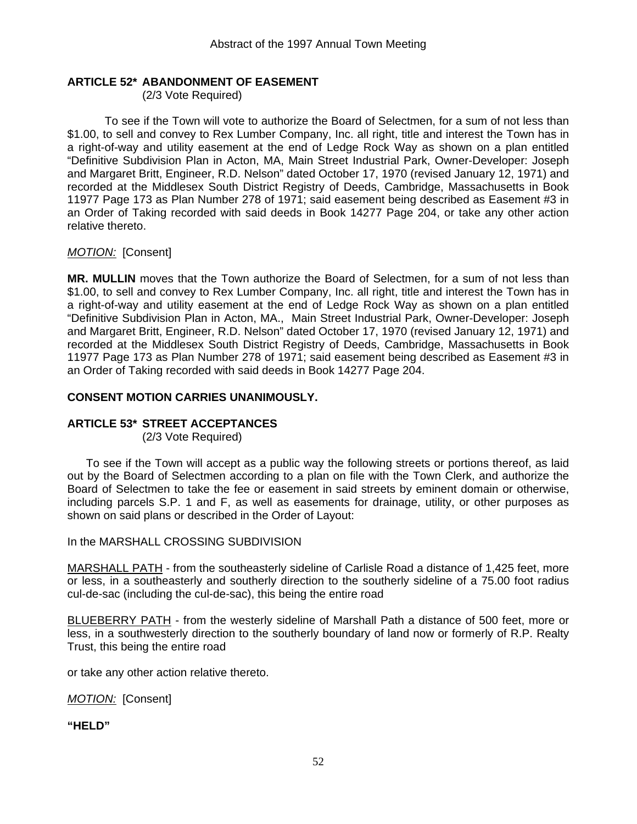### **ARTICLE 52\* ABANDONMENT OF EASEMENT**

(2/3 Vote Required)

 To see if the Town will vote to authorize the Board of Selectmen, for a sum of not less than \$1.00, to sell and convey to Rex Lumber Company, Inc. all right, title and interest the Town has in a right-of-way and utility easement at the end of Ledge Rock Way as shown on a plan entitled "Definitive Subdivision Plan in Acton, MA, Main Street Industrial Park, Owner-Developer: Joseph and Margaret Britt, Engineer, R.D. Nelson" dated October 17, 1970 (revised January 12, 1971) and recorded at the Middlesex South District Registry of Deeds, Cambridge, Massachusetts in Book 11977 Page 173 as Plan Number 278 of 1971; said easement being described as Easement #3 in an Order of Taking recorded with said deeds in Book 14277 Page 204, or take any other action relative thereto.

### *MOTION:* [Consent]

**MR. MULLIN** moves that the Town authorize the Board of Selectmen, for a sum of not less than \$1.00, to sell and convey to Rex Lumber Company, Inc. all right, title and interest the Town has in a right-of-way and utility easement at the end of Ledge Rock Way as shown on a plan entitled "Definitive Subdivision Plan in Acton, MA., Main Street Industrial Park, Owner-Developer: Joseph and Margaret Britt, Engineer, R.D. Nelson" dated October 17, 1970 (revised January 12, 1971) and recorded at the Middlesex South District Registry of Deeds, Cambridge, Massachusetts in Book 11977 Page 173 as Plan Number 278 of 1971; said easement being described as Easement #3 in an Order of Taking recorded with said deeds in Book 14277 Page 204.

### **CONSENT MOTION CARRIES UNANIMOUSLY.**

### **ARTICLE 53\* STREET ACCEPTANCES**

(2/3 Vote Required)

 To see if the Town will accept as a public way the following streets or portions thereof, as laid out by the Board of Selectmen according to a plan on file with the Town Clerk, and authorize the Board of Selectmen to take the fee or easement in said streets by eminent domain or otherwise, including parcels S.P. 1 and F, as well as easements for drainage, utility, or other purposes as shown on said plans or described in the Order of Layout:

### In the MARSHALL CROSSING SUBDIVISION

MARSHALL PATH - from the southeasterly sideline of Carlisle Road a distance of 1,425 feet, more or less, in a southeasterly and southerly direction to the southerly sideline of a 75.00 foot radius cul-de-sac (including the cul-de-sac), this being the entire road

BLUEBERRY PATH - from the westerly sideline of Marshall Path a distance of 500 feet, more or less, in a southwesterly direction to the southerly boundary of land now or formerly of R.P. Realty Trust, this being the entire road

or take any other action relative thereto.

*MOTION:* [Consent]

**"HELD"**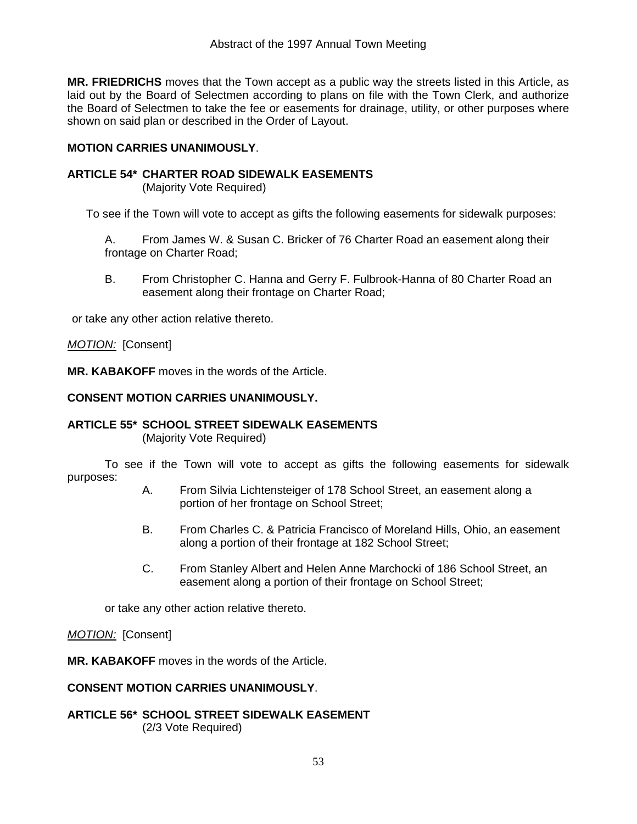**MR. FRIEDRICHS** moves that the Town accept as a public way the streets listed in this Article, as laid out by the Board of Selectmen according to plans on file with the Town Clerk, and authorize the Board of Selectmen to take the fee or easements for drainage, utility, or other purposes where shown on said plan or described in the Order of Layout.

### **MOTION CARRIES UNANIMOUSLY**.

### **ARTICLE 54\* CHARTER ROAD SIDEWALK EASEMENTS**

(Majority Vote Required)

To see if the Town will vote to accept as gifts the following easements for sidewalk purposes:

 A. From James W. & Susan C. Bricker of 76 Charter Road an easement along their frontage on Charter Road;

 B. From Christopher C. Hanna and Gerry F. Fulbrook-Hanna of 80 Charter Road an easement along their frontage on Charter Road;

or take any other action relative thereto.

### *MOTION:* [Consent]

**MR. KABAKOFF** moves in the words of the Article.

### **CONSENT MOTION CARRIES UNANIMOUSLY.**

### **ARTICLE 55\* SCHOOL STREET SIDEWALK EASEMENTS**

(Majority Vote Required)

 To see if the Town will vote to accept as gifts the following easements for sidewalk purposes:

- A. From Silvia Lichtensteiger of 178 School Street, an easement along a portion of her frontage on School Street;
- B. From Charles C. & Patricia Francisco of Moreland Hills, Ohio, an easement along a portion of their frontage at 182 School Street;
- C. From Stanley Albert and Helen Anne Marchocki of 186 School Street, an easement along a portion of their frontage on School Street;

or take any other action relative thereto.

### *MOTION:* [Consent]

**MR. KABAKOFF** moves in the words of the Article.

### **CONSENT MOTION CARRIES UNANIMOUSLY**.

**ARTICLE 56\* SCHOOL STREET SIDEWALK EASEMENT** (2/3 Vote Required)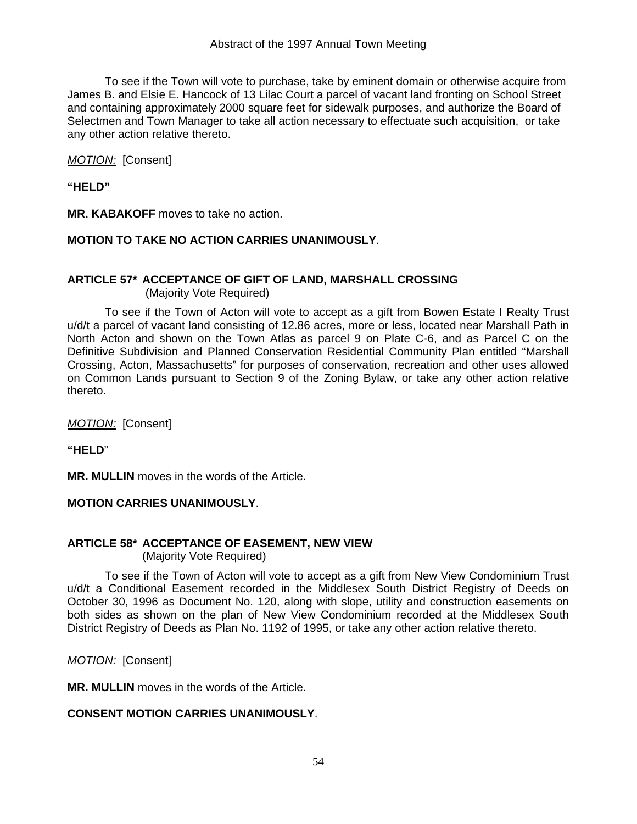To see if the Town will vote to purchase, take by eminent domain or otherwise acquire from James B. and Elsie E. Hancock of 13 Lilac Court a parcel of vacant land fronting on School Street and containing approximately 2000 square feet for sidewalk purposes, and authorize the Board of Selectmen and Town Manager to take all action necessary to effectuate such acquisition, or take any other action relative thereto.

*MOTION:* [Consent]

**"HELD"** 

**MR. KABAKOFF** moves to take no action.

### **MOTION TO TAKE NO ACTION CARRIES UNANIMOUSLY**.

### **ARTICLE 57\* ACCEPTANCE OF GIFT OF LAND, MARSHALL CROSSING**

(Majority Vote Required)

 To see if the Town of Acton will vote to accept as a gift from Bowen Estate I Realty Trust u/d/t a parcel of vacant land consisting of 12.86 acres, more or less, located near Marshall Path in North Acton and shown on the Town Atlas as parcel 9 on Plate C-6, and as Parcel C on the Definitive Subdivision and Planned Conservation Residential Community Plan entitled "Marshall Crossing, Acton, Massachusetts" for purposes of conservation, recreation and other uses allowed on Common Lands pursuant to Section 9 of the Zoning Bylaw, or take any other action relative thereto.

*MOTION:* [Consent]

**"HELD**"

**MR. MULLIN** moves in the words of the Article.

### **MOTION CARRIES UNANIMOUSLY**.

### **ARTICLE 58\* ACCEPTANCE OF EASEMENT, NEW VIEW**

(Majority Vote Required)

 To see if the Town of Acton will vote to accept as a gift from New View Condominium Trust u/d/t a Conditional Easement recorded in the Middlesex South District Registry of Deeds on October 30, 1996 as Document No. 120, along with slope, utility and construction easements on both sides as shown on the plan of New View Condominium recorded at the Middlesex South District Registry of Deeds as Plan No. 1192 of 1995, or take any other action relative thereto.

*MOTION:* [Consent]

**MR. MULLIN** moves in the words of the Article.

### **CONSENT MOTION CARRIES UNANIMOUSLY**.